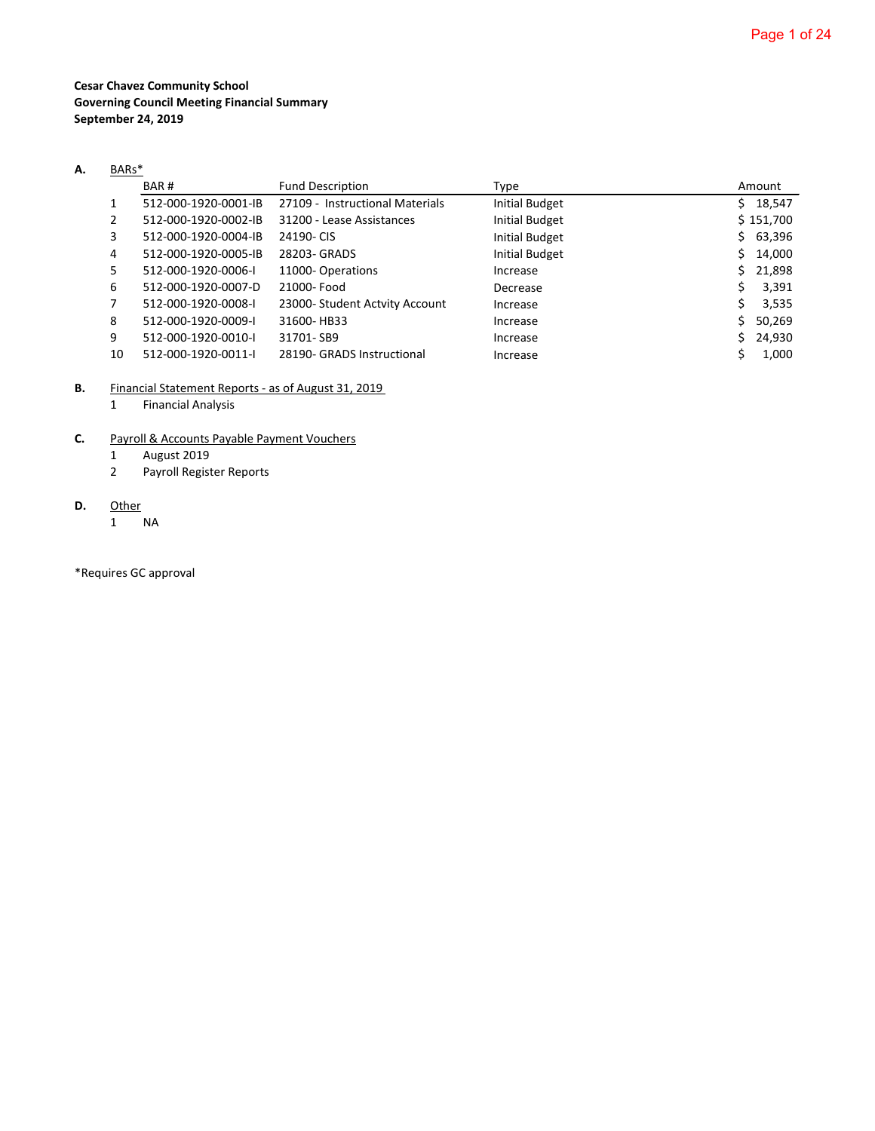**Cesar Chavez Community School Governing Council Meeting Financial Summary September 24, 2019**

# **A.** BARs\*

|    | BAR#                 | <b>Fund Description</b>         | Type                  |    | Amount    |
|----|----------------------|---------------------------------|-----------------------|----|-----------|
|    | 512-000-1920-0001-IB | 27109 - Instructional Materials | <b>Initial Budget</b> | S. | 18,547    |
| 2  | 512-000-1920-0002-IB | 31200 - Lease Assistances       | <b>Initial Budget</b> |    | \$151,700 |
| 3  | 512-000-1920-0004-IB | 24190-CIS                       | <b>Initial Budget</b> | S. | 63,396    |
| 4  | 512-000-1920-0005-IB | 28203- GRADS                    | <b>Initial Budget</b> | Ś. | 14,000    |
| 5. | 512-000-1920-0006-I  | 11000-Operations                | Increase              | Ś. | 21,898    |
| 6  | 512-000-1920-0007-D  | 21000- Food                     | Decrease              | S  | 3,391     |
|    | 512-000-1920-0008-I  | 23000- Student Actvity Account  | Increase              | Ś. | 3,535     |
| 8  | 512-000-1920-0009-I  | 31600-HB33                      | Increase              | Ś  | 50,269    |
| 9  | 512-000-1920-0010-I  | 31701-SB9                       | Increase              | S. | 24,930    |
| 10 | 512-000-1920-0011-I  | 28190- GRADS Instructional      | Increase              |    | 1,000     |

**B.** Financial Statement Reports - as of August 31, 2019

1 Financial Analysis

# **C.** Payroll & Accounts Payable Payment Vouchers

- 1 August 2019
- 2 Payroll Register Reports

# **D.** Other

1 NA

\*Requires GC approval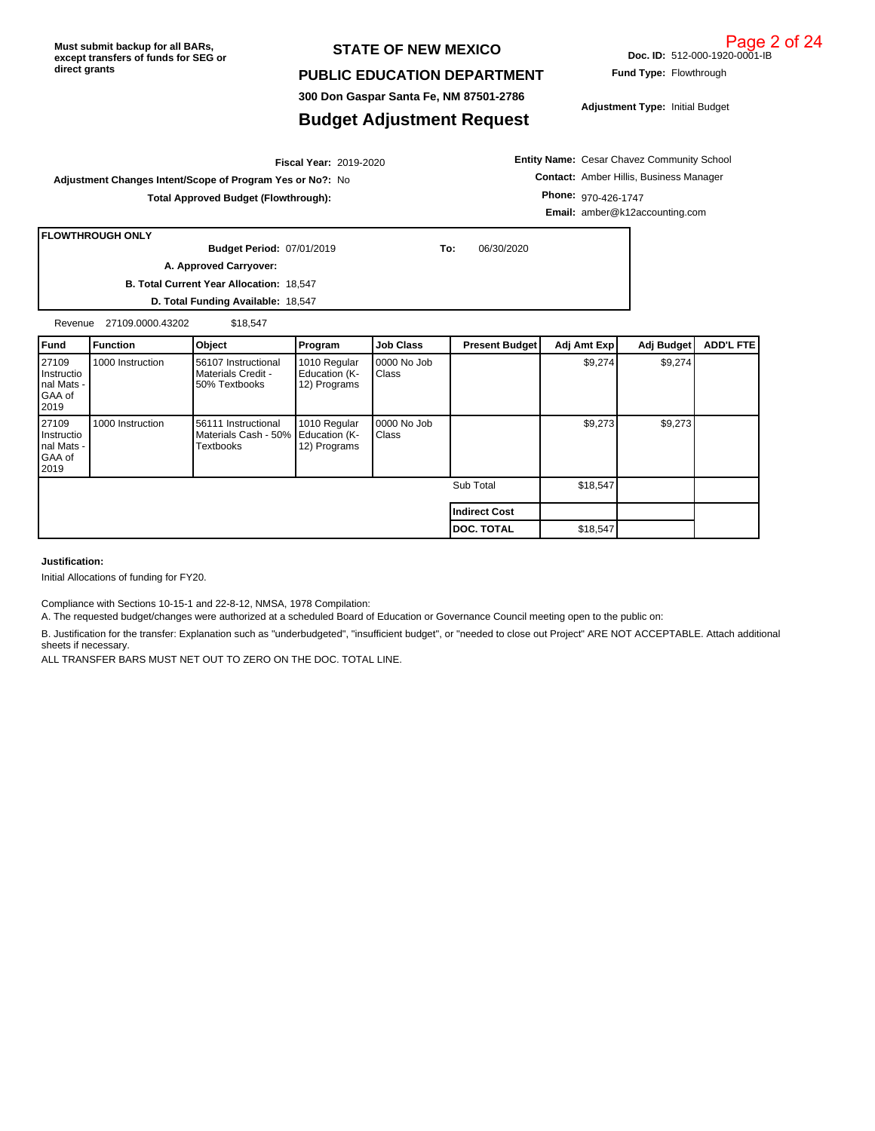#### **STATE OF NEW MEXICO**

#### **PUBLIC EDUCATION DEPARTMENT**

**300 Don Gaspar Santa Fe, NM 87501-2786**

# **Budget Adjustment Request**

**Adjustment Type:** Initial Budget

2019-2020 **Fiscal Year: Adjustment Changes Intent/Scope of Program Yes or No?:** No **Total Approved Budget (Flowthrough):**

**Entity Name:** Cesar Chavez Community School **Contact:** Amber Hillis, Business Manager **Phone:** 970-426-1747 **Email:** amber@k12accounting.com

|             | <b>FLOWTHROUGH ONLY</b> |                                          |           |           |                |              |                  |  |
|-------------|-------------------------|------------------------------------------|-----------|-----------|----------------|--------------|------------------|--|
|             |                         | <b>Budget Period: 07/01/2019</b>         |           | To:       | 06/30/2020     |              |                  |  |
|             |                         | A. Approved Carryover:                   |           |           |                |              |                  |  |
|             |                         | B. Total Current Year Allocation: 18,547 |           |           |                |              |                  |  |
|             |                         | D. Total Funding Available: 18,547       |           |           |                |              |                  |  |
| Revenue     | 27109.0000.43202        | \$18.547                                 |           |           |                |              |                  |  |
| <b>Fund</b> | <b>Eunction</b>         | <b>Object</b>                            | l Program | Job Class | Present Budget | Adi Amt Expl | Adi Budget   ADD |  |

| l Fund                                                           | l Function       | <b>Object</b>                                              | Program                                       | <b>Job Class</b>            | <b>Present Budget</b> | Adj Amt Exp | Adj Budget | <b>ADD'L FTEI</b> |
|------------------------------------------------------------------|------------------|------------------------------------------------------------|-----------------------------------------------|-----------------------------|-----------------------|-------------|------------|-------------------|
| 27109<br>Instructio<br>Inal Mats -<br>GAA of<br>l 2019           | 1000 Instruction | 56107 Instructional<br>Materials Credit -<br>50% Textbooks | 1010 Regular<br>Education (K-<br>12) Programs | 0000 No Job<br><b>Class</b> |                       | \$9,274     | \$9,274    |                   |
| 27109<br>Instructio<br>nal Mats -<br>GAA of<br>I <sub>2019</sub> | 1000 Instruction | 56111 Instructional<br>Materials Cash - 50%<br>Textbooks   | 1010 Regular<br>Education (K-<br>12) Programs | 0000 No Job<br>Class        |                       | \$9,273     | \$9,273    |                   |
|                                                                  |                  |                                                            |                                               |                             | Sub Total             | \$18,547    |            |                   |
|                                                                  |                  |                                                            |                                               |                             | Indirect Cost         |             |            |                   |
|                                                                  |                  |                                                            |                                               |                             | <b>DOC. TOTAL</b>     | \$18,547    |            |                   |

**Justification:**

Initial Allocations of funding for FY20.

Compliance with Sections 10-15-1 and 22-8-12, NMSA, 1978 Compilation:

A. The requested budget/changes were authorized at a scheduled Board of Education or Governance Council meeting open to the public on:

B. Justification for the transfer: Explanation such as "underbudgeted", "insufficient budget", or "needed to close out Project" ARE NOT ACCEPTABLE. Attach additional sheets if necessary.

ALL TRANSFER BARS MUST NET OUT TO ZERO ON THE DOC. TOTAL LINE.

**Doc. ID:** 512-000-1920-0001-IB

**Fund Type:** Flowthrough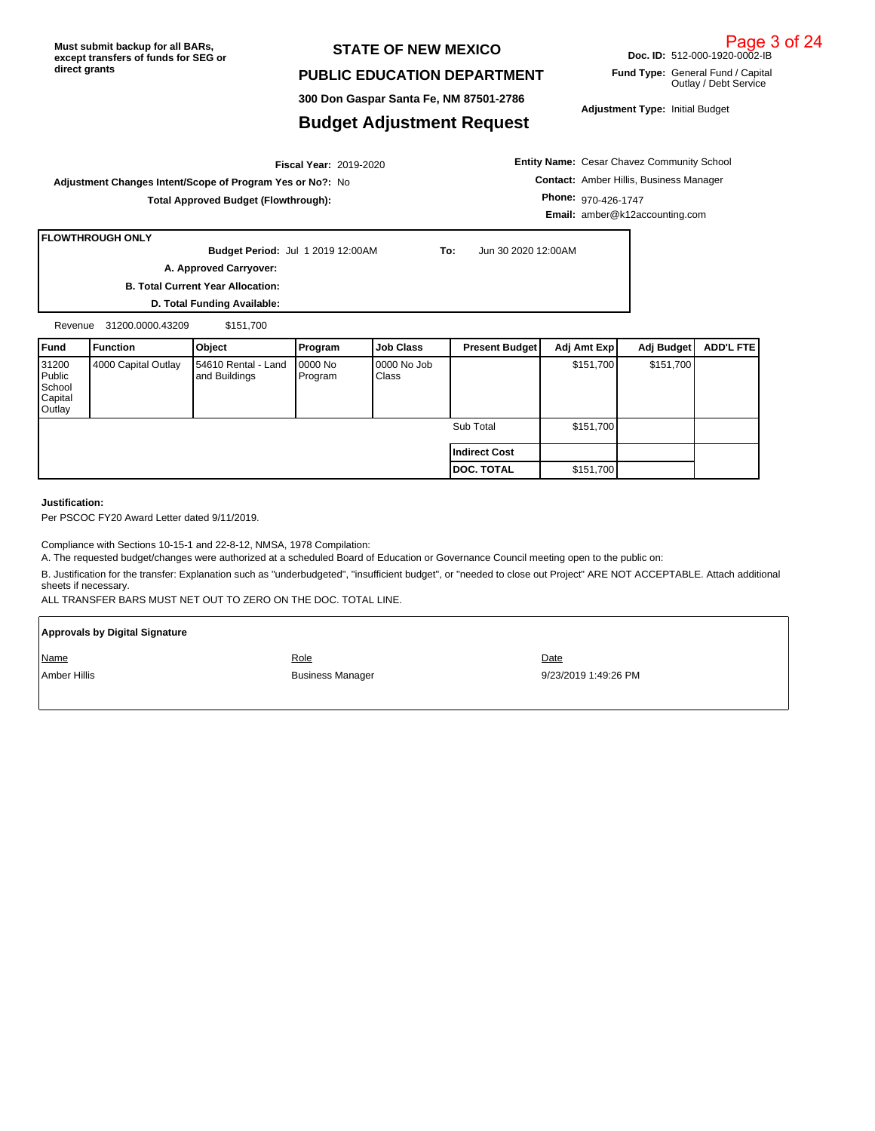#### **STATE OF NEW MEXICO**

#### **PUBLIC EDUCATION DEPARTMENT**

**300 Don Gaspar Santa Fe, NM 87501-2786**

#### **Budget Adjustment Request**

**Adjustment Type:** Initial Budget

**Doc. ID:** 512-000-1920-0002-IB **Fund Type:** General Fund / Capital

Outlay / Debt Service

2019-2020 **Fiscal Year: Adjustment Changes Intent/Scope of Program Yes or No?:** No **Total Approved Budget (Flowthrough):**

**Entity Name:** Cesar Chavez Community School **Contact:** Amber Hillis, Business Manager **Phone:** 970-426-1747 **Email:** amber@k12accounting.com

**FLOWTHROUGH ONLY**

**Budget Period:**

**To:** Jun 30 2020 12:00AM

**B. Total Current Year Allocation: A. Approved Carryover:** 

**D. Total Funding Available:**

Revenue 31200.0000.43209 \$151,700

| Fund                                           | Function            | Object                               | Program             | <b>Job Class</b>     | <b>Present Budget</b> | Adj Amt Exp | Adj Budget | ADD'L FTE |
|------------------------------------------------|---------------------|--------------------------------------|---------------------|----------------------|-----------------------|-------------|------------|-----------|
| 31200<br>Public<br>School<br>Capital<br>Outlay | 4000 Capital Outlay | 54610 Rental - Land<br>and Buildings | 10000 No<br>Program | 0000 No Job<br>Class |                       | \$151,700   | \$151,700  |           |
|                                                |                     |                                      |                     |                      | Sub Total             | \$151,700   |            |           |
|                                                |                     |                                      |                     |                      | l Indirect Cost       |             |            |           |
|                                                |                     |                                      |                     |                      | <b>I DOC. TOTAL</b>   | \$151,700   |            |           |

#### **Justification:**

Per PSCOC FY20 Award Letter dated 9/11/2019.

Compliance with Sections 10-15-1 and 22-8-12, NMSA, 1978 Compilation:

A. The requested budget/changes were authorized at a scheduled Board of Education or Governance Council meeting open to the public on:

B. Justification for the transfer: Explanation such as "underbudgeted", "insufficient budget", or "needed to close out Project" ARE NOT ACCEPTABLE. Attach additional sheets if necessary.

ALL TRANSFER BARS MUST NET OUT TO ZERO ON THE DOC. TOTAL LINE.

| <b>Approvals by Digital Signature</b> |                         |                      |
|---------------------------------------|-------------------------|----------------------|
| Name                                  | <u>Role</u>             | Date                 |
| Amber Hillis                          | <b>Business Manager</b> | 9/23/2019 1:49:26 PM |

Page 3 of 24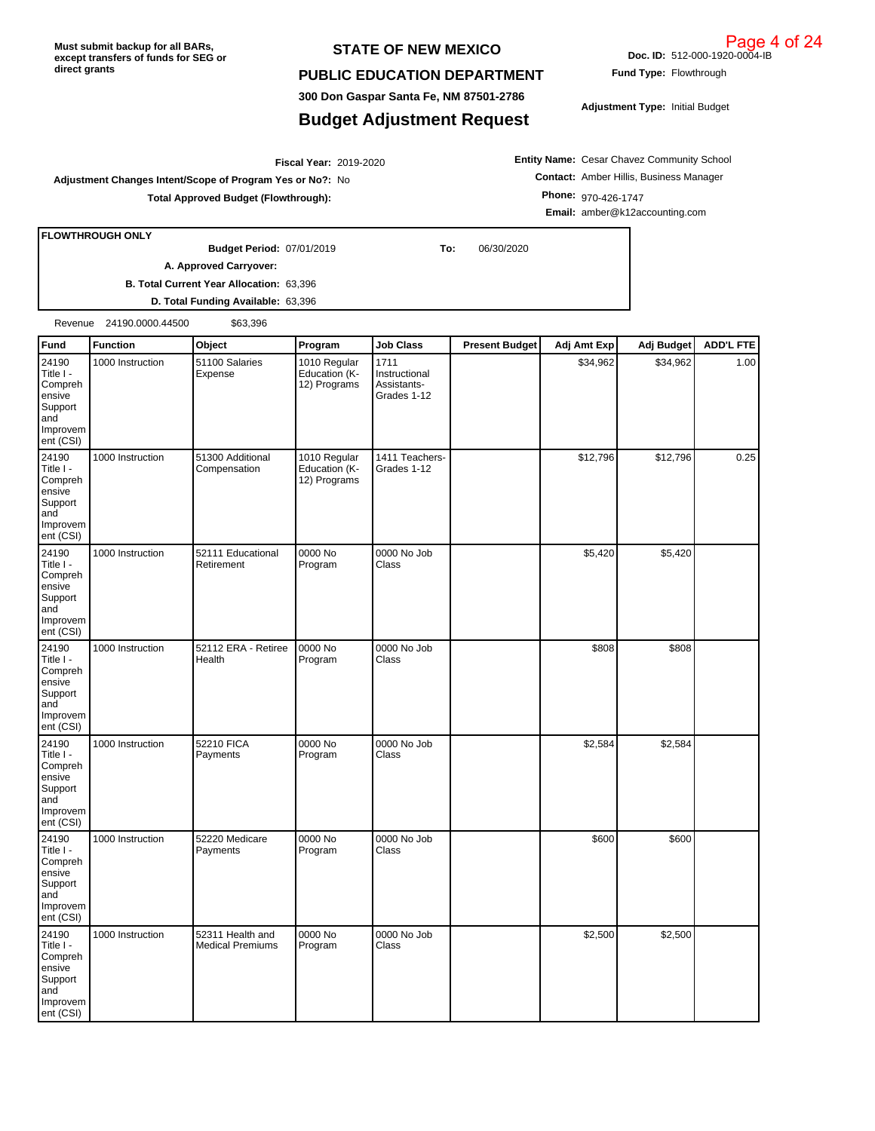**FLOWTHROUGH ONLY**

Compreh ensive Support and Improvem ent (CSI)

#### **STATE OF NEW MEXICO**

#### **PUBLIC EDUCATION DEPARTMENT**

**300 Don Gaspar Santa Fe, NM 87501-2786**

## **Budget Adjustment Request**

**Doc. ID:** 512-000-1920-0004-IB

2019-2020 **Fiscal Year: Adjustment Changes Intent/Scope of Program Yes or No?:** No **Total Approved Budget (Flowthrough):**

**A. Approved Carryover:** 

**Entity Name:** Cesar Chavez Community School **Contact:** Amber Hillis, Business Manager **Phone:** 970-426-1747 **Email:** amber@k12accounting.com

|                                                                                    |                          | D. Total Funding Available: 63,396          |                                               |                                                     |                       |             |            |                  |
|------------------------------------------------------------------------------------|--------------------------|---------------------------------------------|-----------------------------------------------|-----------------------------------------------------|-----------------------|-------------|------------|------------------|
|                                                                                    | Revenue 24190.0000.44500 | \$63,396                                    |                                               |                                                     |                       |             |            |                  |
| Fund                                                                               | <b>Function</b>          | Object                                      | Program                                       | <b>Job Class</b>                                    | <b>Present Budget</b> | Adj Amt Exp | Adj Budget | <b>ADD'L FTE</b> |
| 24190<br>Title I -<br>Compreh<br>ensive<br>Support<br>and<br>Improvem<br>ent (CSI) | 1000 Instruction         | 51100 Salaries<br>Expense                   | 1010 Regular<br>Education (K-<br>12) Programs | 1711<br>Instructional<br>Assistants-<br>Grades 1-12 |                       | \$34,962    | \$34,962   | 1.00             |
| 24190<br>Title I -<br>Compreh<br>ensive<br>Support<br>and<br>Improvem<br>ent (CSI) | 1000 Instruction         | 51300 Additional<br>Compensation            | 1010 Regular<br>Education (K-<br>12) Programs | 1411 Teachers-<br>Grades 1-12                       |                       | \$12,796    | \$12,796   | 0.25             |
| 24190<br>Title I -<br>Compreh<br>ensive<br>Support<br>and<br>Improvem<br>ent (CSI) | 1000 Instruction         | 52111 Educational<br>Retirement             | 0000 No<br>Program                            | 0000 No Job<br>Class                                |                       | \$5,420     | \$5,420    |                  |
| 24190<br>Title I -<br>Compreh<br>ensive<br>Support<br>and<br>Improvem<br>ent (CSI) | 1000 Instruction         | 52112 ERA - Retiree<br>Health               | 0000 No<br>Program                            | 0000 No Job<br>Class                                |                       | \$808       | \$808      |                  |
| 24190<br>Title I -<br>Compreh<br>ensive<br>Support<br>and<br>Improvem<br>ent (CSI) | 1000 Instruction         | 52210 FICA<br>Payments                      | 0000 No<br>Program                            | 0000 No Job<br>Class                                |                       | \$2,584     | \$2,584    |                  |
| 24190<br>Title I -<br>Compreh<br>ensive<br>Support<br>and<br>Improvem<br>ent (CSI) | 1000 Instruction         | 52220 Medicare<br>Payments                  | 0000 No<br>Program                            | 0000 No Job<br>Class                                |                       | \$600       | \$600      |                  |
| 24190<br>Title I -                                                                 | 1000 Instruction         | 52311 Health and<br><b>Medical Premiums</b> | 0000 No<br>Program                            | 0000 No Job<br>Class                                |                       | \$2,500     | \$2,500    |                  |

**Fund Type:** Flowthrough

**Adjustment Type:** Initial Budget

**B. Total Current Year Allocation:** 63,396

07/01/2019 **To:** 06/30/2020 **Budget Period:**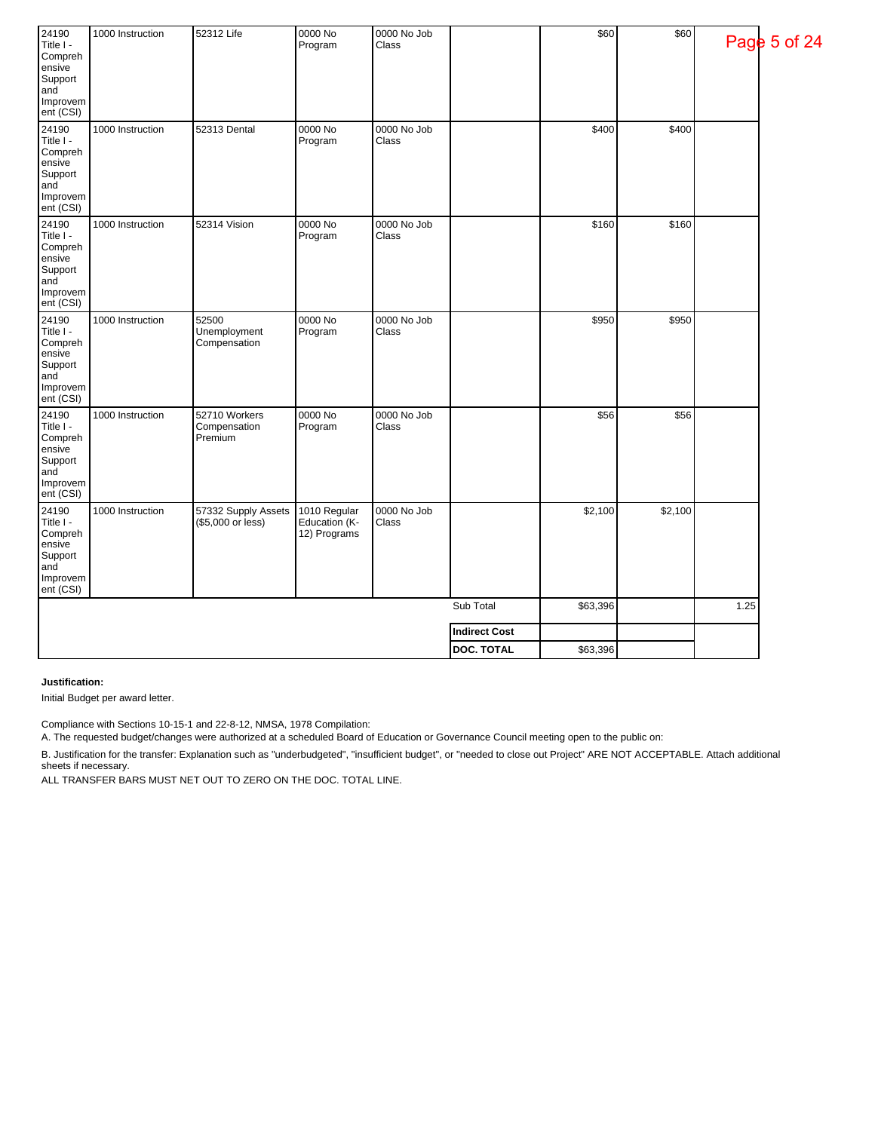| 24190<br>Title I -<br>Compreh<br>ensive<br>Support<br>and<br>Improvem<br>ent (CSI) | 1000 Instruction | 52312 Life                               | 0000 No<br>Program                            | 0000 No Job<br>Class |                      | \$60     | \$60    |      | Page 5 of 24 |
|------------------------------------------------------------------------------------|------------------|------------------------------------------|-----------------------------------------------|----------------------|----------------------|----------|---------|------|--------------|
| 24190<br>Title I -<br>Compreh<br>ensive<br>Support<br>and<br>Improvem<br>ent (CSI) | 1000 Instruction | 52313 Dental                             | 0000 No<br>Program                            | 0000 No Job<br>Class |                      | \$400    | \$400   |      |              |
| 24190<br>Title I -<br>Compreh<br>ensive<br>Support<br>and<br>Improvem<br>ent (CSI) | 1000 Instruction | 52314 Vision                             | 0000 No<br>Program                            | 0000 No Job<br>Class |                      | \$160    | \$160   |      |              |
| 24190<br>Title I -<br>Compreh<br>ensive<br>Support<br>and<br>Improvem<br>ent (CSI) | 1000 Instruction | 52500<br>Unemployment<br>Compensation    | 0000 No<br>Program                            | 0000 No Job<br>Class |                      | \$950    | \$950   |      |              |
| 24190<br>Title I -<br>Compreh<br>ensive<br>Support<br>and<br>Improvem<br>ent (CSI) | 1000 Instruction | 52710 Workers<br>Compensation<br>Premium | 0000 No<br>Program                            | 0000 No Job<br>Class |                      | \$56     | \$56    |      |              |
| 24190<br>Title I -<br>Compreh<br>ensive<br>Support<br>and<br>Improvem<br>ent (CSI) | 1000 Instruction | 57332 Supply Assets<br>(\$5,000 or less) | 1010 Regular<br>Education (K-<br>12) Programs | 0000 No Job<br>Class |                      | \$2,100  | \$2,100 |      |              |
|                                                                                    |                  |                                          |                                               |                      | Sub Total            | \$63,396 |         | 1.25 |              |
|                                                                                    |                  |                                          |                                               |                      | <b>Indirect Cost</b> |          |         |      |              |
|                                                                                    |                  |                                          |                                               |                      | <b>DOC. TOTAL</b>    | \$63,396 |         |      |              |

**Justification:**

Initial Budget per award letter.

Compliance with Sections 10-15-1 and 22-8-12, NMSA, 1978 Compilation:

A. The requested budget/changes were authorized at a scheduled Board of Education or Governance Council meeting open to the public on:

B. Justification for the transfer: Explanation such as "underbudgeted", "insufficient budget", or "needed to close out Project" ARE NOT ACCEPTABLE. Attach additional sheets if necessary.

ALL TRANSFER BARS MUST NET OUT TO ZERO ON THE DOC. TOTAL LINE.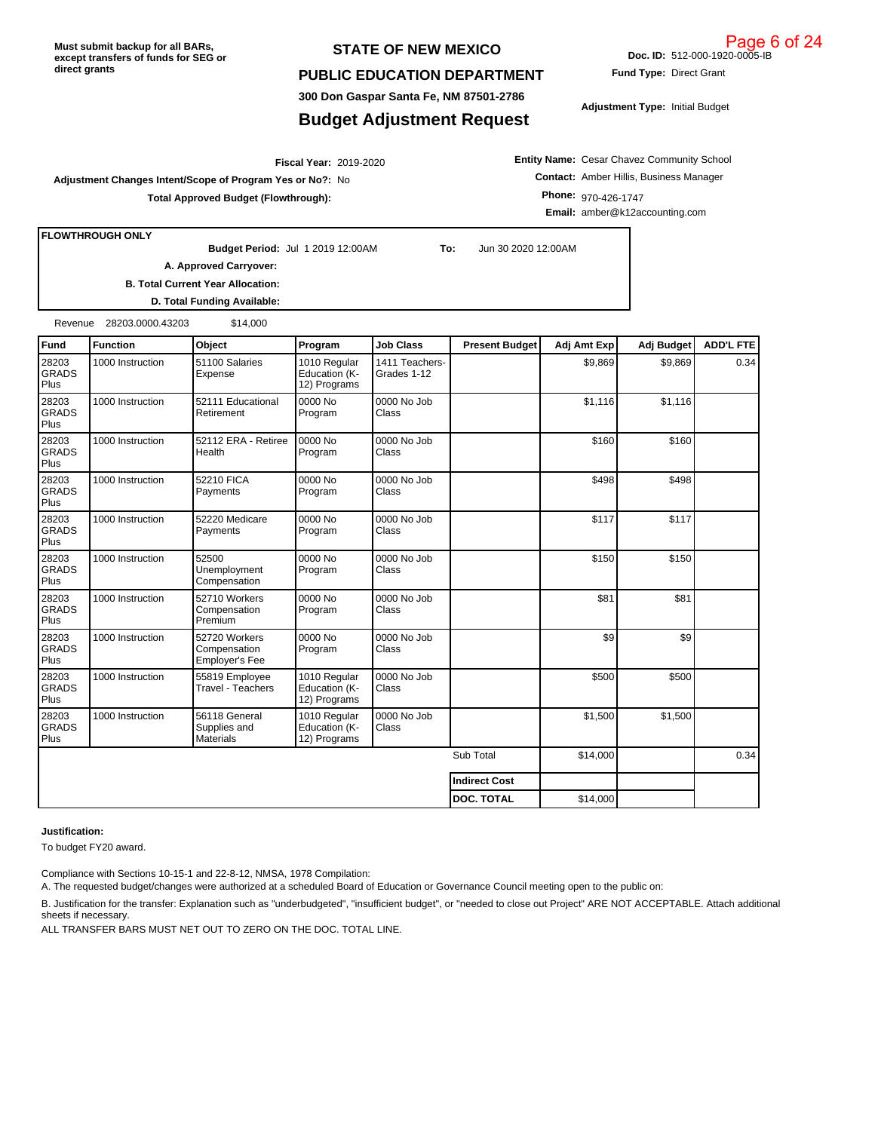#### **STATE OF NEW MEXICO**

#### **PUBLIC EDUCATION DEPARTMENT**

**300 Don Gaspar Santa Fe, NM 87501-2786**

# **Budget Adjustment Request**

**Fund Type:** Direct Grant

**Doc. ID:** 512-000-1920-0005-IB

**Adjustment Type:** Initial Budget

2019-2020 **Fiscal Year: Adjustment Changes Intent/Scope of Program Yes or No?:** No **Total Approved Budget (Flowthrough):**

**Entity Name:** Cesar Chavez Community School **Contact:** Amber Hillis, Business Manager **Phone:** 970-426-1747 **Email:** amber@k12accounting.com

**FLOWTHROUGH ONLY**

**Budget Period:** Jul 1 2019 12:00AM **To:** Jun 30 2020 12:00AM

**B. Total Current Year Allocation: A. Approved Carryover:** 

**D. Total Funding Available:**

Revenue 28203.0000.43203 \$14,000

| Fund                          | Function         | Object                                            | Program                                       | <b>Job Class</b>              | <b>Present Budget</b> | Adj Amt Exp    | Adj Budget     | <b>ADD'L FTE</b> |
|-------------------------------|------------------|---------------------------------------------------|-----------------------------------------------|-------------------------------|-----------------------|----------------|----------------|------------------|
| 28203<br><b>GRADS</b><br>Plus | 1000 Instruction | 51100 Salaries<br>Expense                         | 1010 Regular<br>Education (K-<br>12) Programs | 1411 Teachers-<br>Grades 1-12 |                       | \$9,869        | \$9,869        | 0.34             |
| 28203<br><b>GRADS</b><br>Plus | 1000 Instruction | 52111 Educational<br>Retirement                   | 0000 No<br>Program                            | 0000 No Job<br>Class          |                       | \$1,116        | \$1,116        |                  |
| 28203<br><b>GRADS</b><br>Plus | 1000 Instruction | 52112 ERA - Retiree<br>Health                     | 0000 No<br>Program                            | 0000 No Job<br>Class          |                       | \$160          | \$160          |                  |
| 28203<br><b>GRADS</b><br>Plus | 1000 Instruction | 52210 FICA<br>Payments                            | 0000 No<br>Program                            | 0000 No Job<br>Class          |                       | \$498          | \$498          |                  |
| 28203<br><b>GRADS</b><br>Plus | 1000 Instruction | 52220 Medicare<br>Payments                        | 0000 No<br>Program                            | 0000 No Job<br>Class          |                       | \$117          | \$117          |                  |
| 28203<br><b>GRADS</b><br>Plus | 1000 Instruction | 52500<br>Unemployment<br>Compensation             | 0000 No<br>Program                            | 0000 No Job<br>Class          |                       | \$150          | \$150          |                  |
| 28203<br><b>GRADS</b><br>Plus | 1000 Instruction | 52710 Workers<br>Compensation<br>Premium          | 0000 No<br>Program                            | 0000 No Job<br>Class          |                       | \$81           | \$81           |                  |
| 28203<br><b>GRADS</b><br>Plus | 1000 Instruction | 52720 Workers<br>Compensation<br>Employer's Fee   | 0000 No<br>Program                            | 0000 No Job<br>Class          |                       | s <sub>9</sub> | s <sub>9</sub> |                  |
| 28203<br><b>GRADS</b><br>Plus | 1000 Instruction | 55819 Employee<br>Travel - Teachers               | 1010 Regular<br>Education (K-<br>12) Programs | 0000 No Job<br>Class          |                       | \$500          | \$500          |                  |
| 28203<br><b>GRADS</b><br>Plus | 1000 Instruction | 56118 General<br>Supplies and<br><b>Materials</b> | 1010 Regular<br>Education (K-<br>12) Programs | 0000 No Job<br>Class          |                       | \$1,500        | \$1,500        |                  |
|                               |                  |                                                   |                                               |                               | Sub Total             | \$14,000       |                | 0.34             |
|                               |                  |                                                   |                                               |                               | <b>Indirect Cost</b>  |                |                |                  |
|                               |                  |                                                   |                                               |                               | <b>DOC. TOTAL</b>     | \$14,000       |                |                  |

#### **Justification:**

To budget FY20 award.

Compliance with Sections 10-15-1 and 22-8-12, NMSA, 1978 Compilation:

A. The requested budget/changes were authorized at a scheduled Board of Education or Governance Council meeting open to the public on:

B. Justification for the transfer: Explanation such as "underbudgeted", "insufficient budget", or "needed to close out Project" ARE NOT ACCEPTABLE. Attach additional sheets if necessary.

ALL TRANSFER BARS MUST NET OUT TO ZERO ON THE DOC. TOTAL LINE.

Page 6 of 24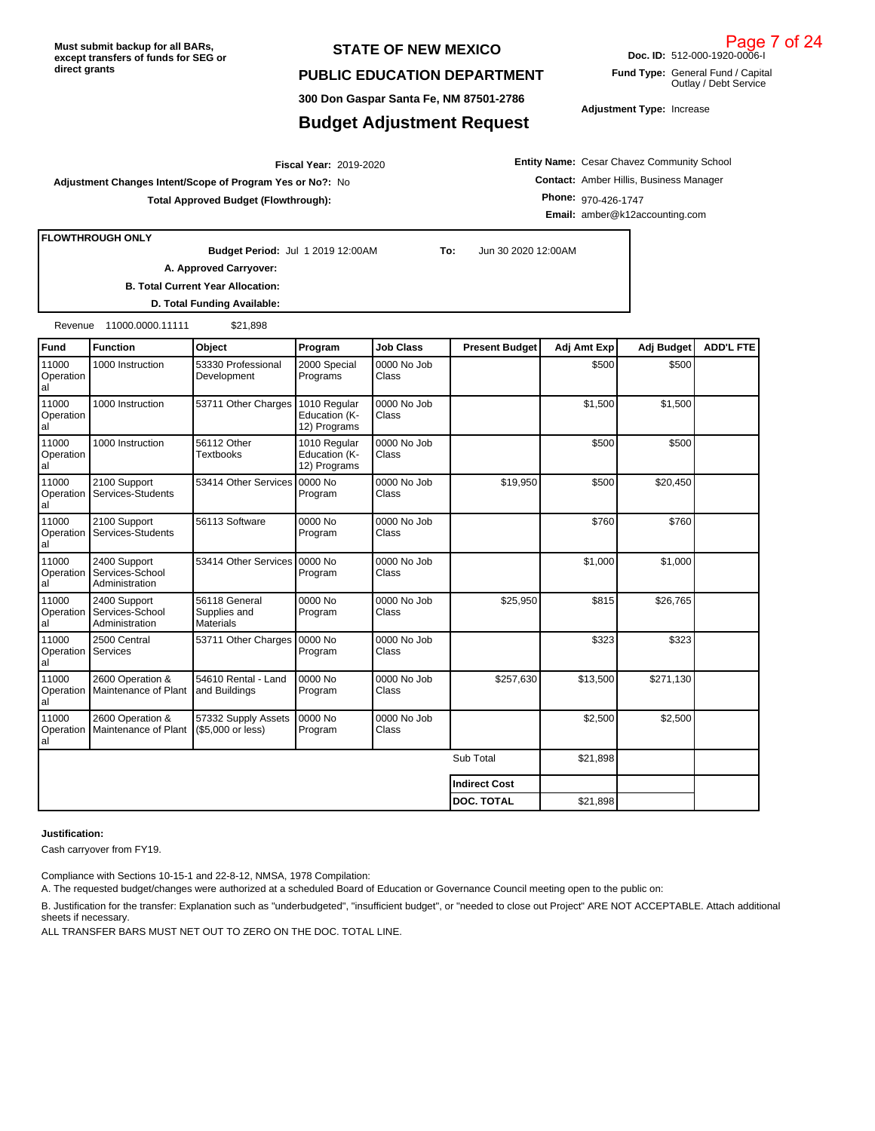#### **STATE OF NEW MEXICO**

#### **PUBLIC EDUCATION DEPARTMENT**

**300 Don Gaspar Santa Fe, NM 87501-2786**

#### **Budget Adjustment Request**

**Entity Name:** Cesar Chavez Community School **Contact:** Amber Hillis, Business Manager **Phone:** 970-426-1747

**FLOWTHROUGH ONLY**

**Budget Period: A. Approved Carryover:** 

2019-2020 **Fiscal Year:**

**To:** Jun 30 2020 12:00AM

**B. Total Current Year Allocation: D. Total Funding Available:**

**Adjustment Changes Intent/Scope of Program Yes or No?:** No

**Total Approved Budget (Flowthrough):**

Revenue 11000.0000.11111 \$21,898

| Fund                     | <b>Function</b>                                   | Object                                            | Program                                       | <b>Job Class</b>     | <b>Present Budget</b> | Adj Amt Exp | Adj Budget | <b>ADD'L FTE</b> |
|--------------------------|---------------------------------------------------|---------------------------------------------------|-----------------------------------------------|----------------------|-----------------------|-------------|------------|------------------|
| 11000<br>Operation<br>al | 1000 Instruction                                  | 53330 Professional<br>Development                 | 2000 Special<br>Programs                      | 0000 No Job<br>Class |                       | \$500       | \$500      |                  |
| 11000<br>Operation<br>al | 1000 Instruction                                  | 53711 Other Charges                               | 1010 Regular<br>Education (K-<br>12) Programs | 0000 No Job<br>Class |                       | \$1,500     | \$1,500    |                  |
| 11000<br>Operation<br>al | 1000 Instruction                                  | 56112 Other<br><b>Textbooks</b>                   | 1010 Regular<br>Education (K-<br>12) Programs | 0000 No Job<br>Class |                       | \$500       | \$500      |                  |
| 11000<br>Operation<br>al | 2100 Support<br>Services-Students                 | 53414 Other Services                              | 10000 No<br>Program                           | 0000 No Job<br>Class | \$19,950              | \$500       | \$20,450   |                  |
| 11000<br>Operation<br>al | 2100 Support<br>Services-Students                 | 56113 Software                                    | 0000 No<br>Program                            | 0000 No Job<br>Class |                       | \$760       | \$760      |                  |
| 11000<br>Operation<br>al | 2400 Support<br>Services-School<br>Administration | 53414 Other Services                              | 0000 No<br>Program                            | 0000 No Job<br>Class |                       | \$1,000     | \$1,000    |                  |
| 11000<br>Operation<br>al | 2400 Support<br>Services-School<br>Administration | 56118 General<br>Supplies and<br><b>Materials</b> | 0000 No<br>Program                            | 0000 No Job<br>Class | \$25,950              | \$815       | \$26,765   |                  |
| 11000<br>Operation<br>al | 2500 Central<br>Services                          | 53711 Other Charges                               | 0000 No<br>Program                            | 0000 No Job<br>Class |                       | \$323       | \$323      |                  |
| 11000<br>Operation<br>al | 2600 Operation &<br>Maintenance of Plant          | 54610 Rental - Land<br>and Buildings              | 0000 No<br>Program                            | 0000 No Job<br>Class | \$257,630             | \$13,500    | \$271,130  |                  |
| 11000<br>Operation<br>al | 2600 Operation &<br>Maintenance of Plant          | 57332 Supply Assets<br>(\$5,000 or less)          | 0000 No<br>Program                            | 0000 No Job<br>Class |                       | \$2,500     | \$2,500    |                  |
|                          |                                                   |                                                   |                                               |                      | Sub Total             | \$21,898    |            |                  |
|                          |                                                   |                                                   |                                               |                      | <b>Indirect Cost</b>  |             |            |                  |
|                          |                                                   |                                                   |                                               |                      | <b>DOC. TOTAL</b>     | \$21,898    |            |                  |

#### **Justification:**

Cash carryover from FY19.

Compliance with Sections 10-15-1 and 22-8-12, NMSA, 1978 Compilation:

A. The requested budget/changes were authorized at a scheduled Board of Education or Governance Council meeting open to the public on:

B. Justification for the transfer: Explanation such as "underbudgeted", "insufficient budget", or "needed to close out Project" ARE NOT ACCEPTABLE. Attach additional sheets if necessary.

ALL TRANSFER BARS MUST NET OUT TO ZERO ON THE DOC. TOTAL LINE.

**Doc. ID:** 512-000-1920-0006-I Page 7 of 24

**Fund Type:** General Fund / Capital Outlay / Debt Service

**Adjustment Type:** Increase

**Email:** amber@k12accounting.com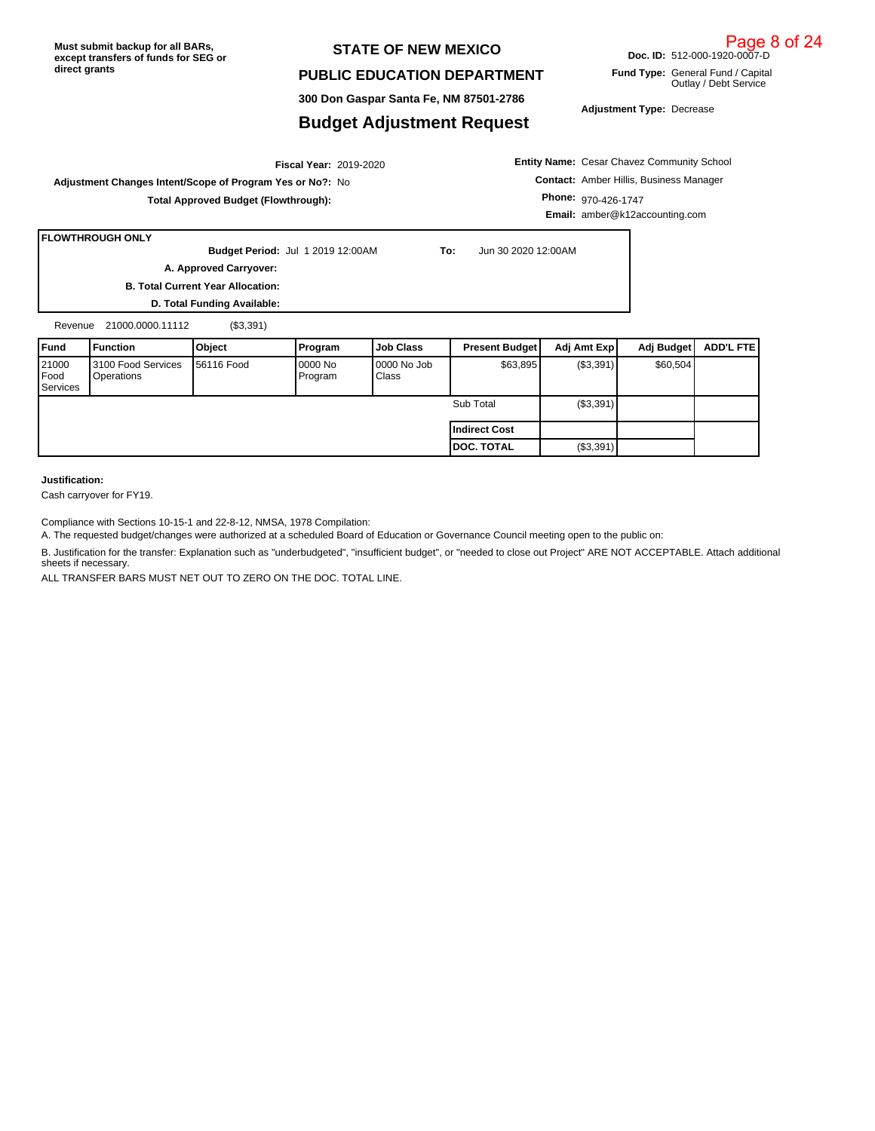#### **STATE OF NEW MEXICO**

#### **PUBLIC EDUCATION DEPARTMENT**

**300 Don Gaspar Santa Fe, NM 87501-2786**

#### **Budget Adjustment Request**

**Adjustment Type:** Decrease

2019-2020 **Fiscal Year: Adjustment Changes Intent/Scope of Program Yes or No?:** No **Total Approved Budget (Flowthrough):**

**Entity Name:** Cesar Chavez Community School **Contact:** Amber Hillis, Business Manager **Phone:** 970-426-1747

**Email:** amber@k12accounting.com

#### **FLOWTHROUGH ONLY**

**To:** Jun 30 2020 12:00AM **Budget Period: A. Approved Carryover:** 

**B. Total Current Year Allocation:**

**D. Total Funding Available:**

Revenue 21000.0000.11112 (\$3,391)

| <b>IFund</b>                            | Function                         | <b>Object</b>      | Program             | <b>Job Class</b>        | <b>Present Budget</b> | Adj Amt Exp | Adj Budget | ADD'L FTE |
|-----------------------------------------|----------------------------------|--------------------|---------------------|-------------------------|-----------------------|-------------|------------|-----------|
| 21000<br><b>Food</b><br><b>Services</b> | 3100 Food Services<br>Operations | <b>156116 Food</b> | 10000 No<br>Program | $10000$ No Job<br>Class | \$63,895              | (S3,391)    | \$60,504   |           |
|                                         |                                  |                    |                     |                         | Sub Total             | (\$3,391)   |            |           |
|                                         |                                  |                    |                     |                         | l Indirect Cost       |             |            |           |
|                                         |                                  |                    |                     |                         | <b>IDOC. TOTAL</b>    | (\$3,391)   |            |           |

#### **Justification:**

Cash carryover for FY19.

Compliance with Sections 10-15-1 and 22-8-12, NMSA, 1978 Compilation:

A. The requested budget/changes were authorized at a scheduled Board of Education or Governance Council meeting open to the public on:

B. Justification for the transfer: Explanation such as "underbudgeted", "insufficient budget", or "needed to close out Project" ARE NOT ACCEPTABLE. Attach additional sheets if necessary.

ALL TRANSFER BARS MUST NET OUT TO ZERO ON THE DOC. TOTAL LINE.

Page 8 of 24

#### **Doc. ID:** 512-000-1920-0007-D

**Fund Type:** General Fund / Capital Outlay / Debt Service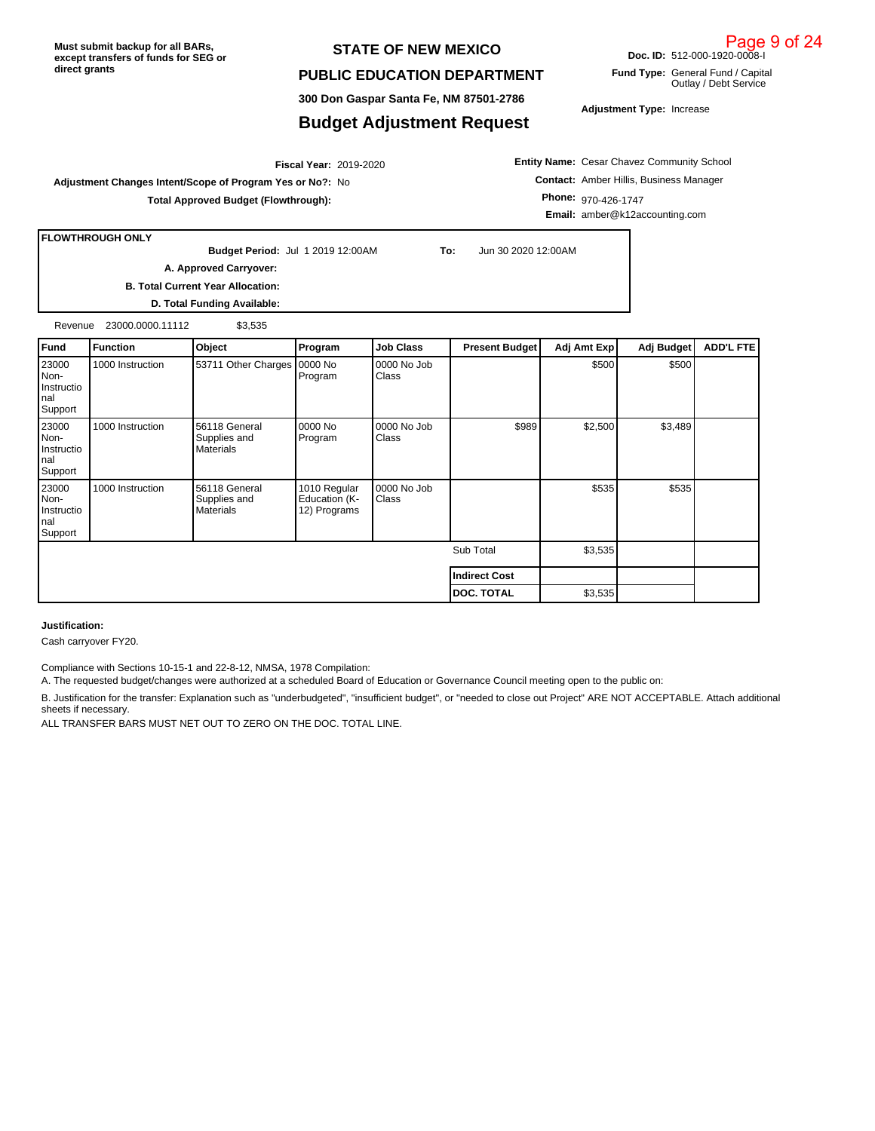#### **STATE OF NEW MEXICO**

#### **PUBLIC EDUCATION DEPARTMENT**

**300 Don Gaspar Santa Fe, NM 87501-2786**

#### **Budget Adjustment Request**

**Adjustment Type:** Increase

**Doc. ID:** 512-000-1920-0008-I **Fund Type:** General Fund / Capital

Outlay / Debt Service

2019-2020 **Fiscal Year: Adjustment Changes Intent/Scope of Program Yes or No?:** No

**Total Approved Budget (Flowthrough):**

**Entity Name:** Cesar Chavez Community School **Contact:** Amber Hillis, Business Manager **Phone:** 970-426-1747 **Email:** amber@k12accounting.com

**FLOWTHROUGH ONLY**

**Budget Period:** Jul 1 2019 12:00AM **To:** Jun 30 2020 12:00AM

**B. Total Current Year Allocation: A. Approved Carryover:** 

**D. Total Funding Available:**

Revenue 23000.0000.11112 \$3,535

| Fund                                          | <b>Function</b>  | Object                                            | Program                                       | <b>Job Class</b>     | <b>Present Budget</b> | Adj Amt Exp | Adj Budget | <b>ADD'L FTE</b> |
|-----------------------------------------------|------------------|---------------------------------------------------|-----------------------------------------------|----------------------|-----------------------|-------------|------------|------------------|
| 23000<br>Non-<br>Instructio<br>nal<br>Support | 1000 Instruction | 53711 Other Charges                               | 0000 No<br>Program                            | 0000 No Job<br>Class |                       | \$500       | \$500      |                  |
| 23000<br>Non-<br>Instructio<br>nal<br>Support | 1000 Instruction | 56118 General<br>Supplies and<br><b>Materials</b> | 0000 No<br>Program                            | 0000 No Job<br>Class | \$989                 | \$2,500     | \$3,489    |                  |
| 23000<br>Non-<br>Instructio<br>nal<br>Support | 1000 Instruction | 56118 General<br>Supplies and<br><b>Materials</b> | 1010 Regular<br>Education (K-<br>12) Programs | 0000 No Job<br>Class |                       | \$535       | \$535      |                  |
|                                               |                  |                                                   |                                               |                      | Sub Total             | \$3,535     |            |                  |
|                                               |                  |                                                   |                                               |                      | <b>Indirect Cost</b>  |             |            |                  |
|                                               |                  |                                                   |                                               |                      | <b>DOC. TOTAL</b>     | \$3,535     |            |                  |

#### **Justification:**

Cash carryover FY20.

Compliance with Sections 10-15-1 and 22-8-12, NMSA, 1978 Compilation:

A. The requested budget/changes were authorized at a scheduled Board of Education or Governance Council meeting open to the public on:

B. Justification for the transfer: Explanation such as "underbudgeted", "insufficient budget", or "needed to close out Project" ARE NOT ACCEPTABLE. Attach additional sheets if necessary.

ALL TRANSFER BARS MUST NET OUT TO ZERO ON THE DOC. TOTAL LINE.

## Page 9 of 24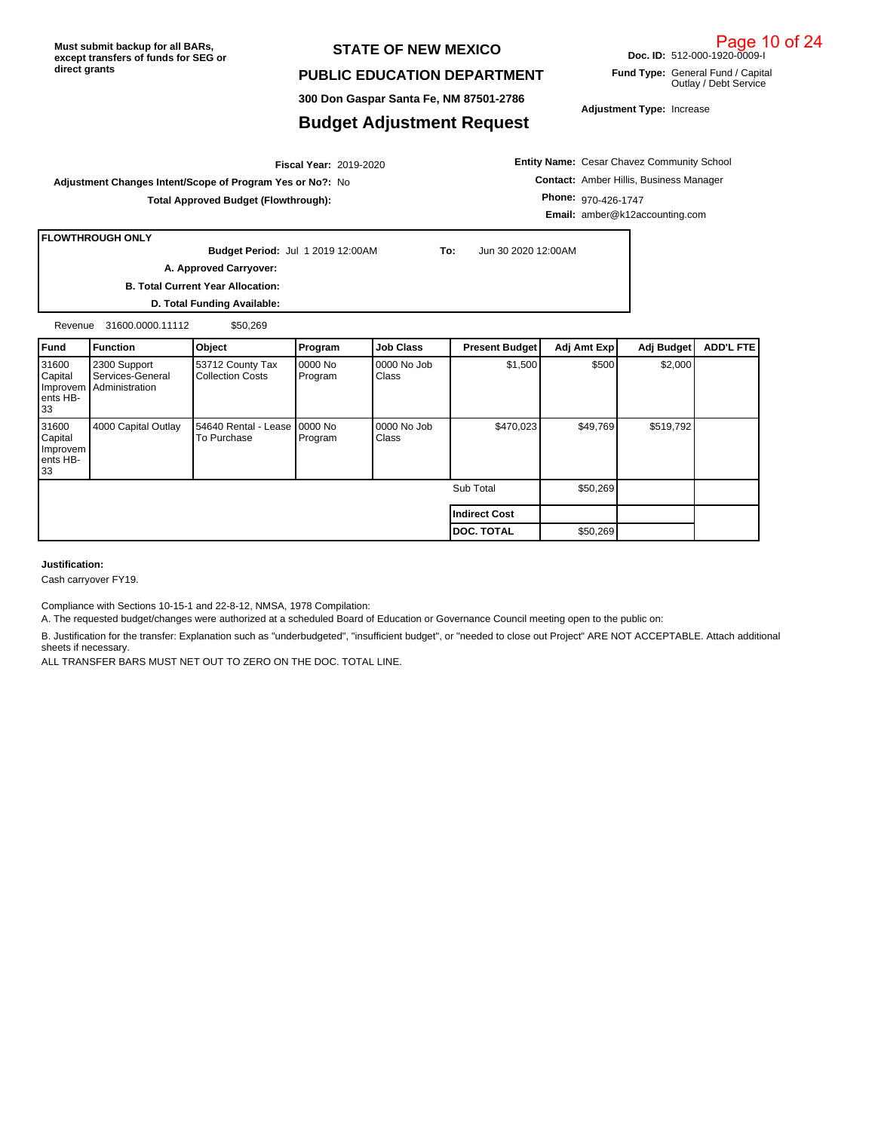#### **STATE OF NEW MEXICO**

#### **PUBLIC EDUCATION DEPARTMENT**

**300 Don Gaspar Santa Fe, NM 87501-2786**

#### **Budget Adjustment Request**

**Adjustment Type:** Increase

**Doc. ID:** 512-000-1920-0009-I **Fund Type:** General Fund / Capital

Outlay / Debt Service

2019-2020 **Fiscal Year: Adjustment Changes Intent/Scope of Program Yes or No?:** No

**Total Approved Budget (Flowthrough):**

**Entity Name:** Cesar Chavez Community School **Contact:** Amber Hillis, Business Manager **Phone:** 970-426-1747 **Email:** amber@k12accounting.com

**FLOWTHROUGH ONLY**

**Budget Period:**

**To:** Jun 30 2020 12:00AM

**B. Total Current Year Allocation:**

**A. Approved Carryover:** 

**D. Total Funding Available:**

Revenue 31600.0000.11112 \$50,269

| Fund                                           | <b>Function</b>                                    | Object                                      | Program                    | <b>Job Class</b>     | <b>Present Budget</b> | Adj Amt Exp | Adj Budget | <b>ADD'L FTE</b> |
|------------------------------------------------|----------------------------------------------------|---------------------------------------------|----------------------------|----------------------|-----------------------|-------------|------------|------------------|
| 31600<br>Capital<br>Improvem<br>ents HB-<br>33 | 2300 Support<br>Services-General<br>Administration | 53712 County Tax<br><b>Collection Costs</b> | 0000 No<br>Program         | 0000 No Job<br>Class | \$1,500               | \$500       | \$2,000    |                  |
| 31600<br>Capital<br>Improvem<br>ents HB-<br>33 | 4000 Capital Outlay                                | 54640 Rental - Lease<br>To Purchase         | <b>10000 No</b><br>Program | 0000 No Job<br>Class | \$470,023             | \$49,769    | \$519,792  |                  |
|                                                |                                                    |                                             |                            |                      | Sub Total             | \$50,269    |            |                  |
|                                                |                                                    |                                             |                            |                      | <b>Indirect Cost</b>  |             |            |                  |
|                                                |                                                    |                                             |                            |                      | <b>DOC. TOTAL</b>     | \$50,269    |            |                  |

#### **Justification:**

Cash carryover FY19.

Compliance with Sections 10-15-1 and 22-8-12, NMSA, 1978 Compilation:

A. The requested budget/changes were authorized at a scheduled Board of Education or Governance Council meeting open to the public on:

B. Justification for the transfer: Explanation such as "underbudgeted", "insufficient budget", or "needed to close out Project" ARE NOT ACCEPTABLE. Attach additional sheets if necessary.

ALL TRANSFER BARS MUST NET OUT TO ZERO ON THE DOC. TOTAL LINE.

Page 10 of 24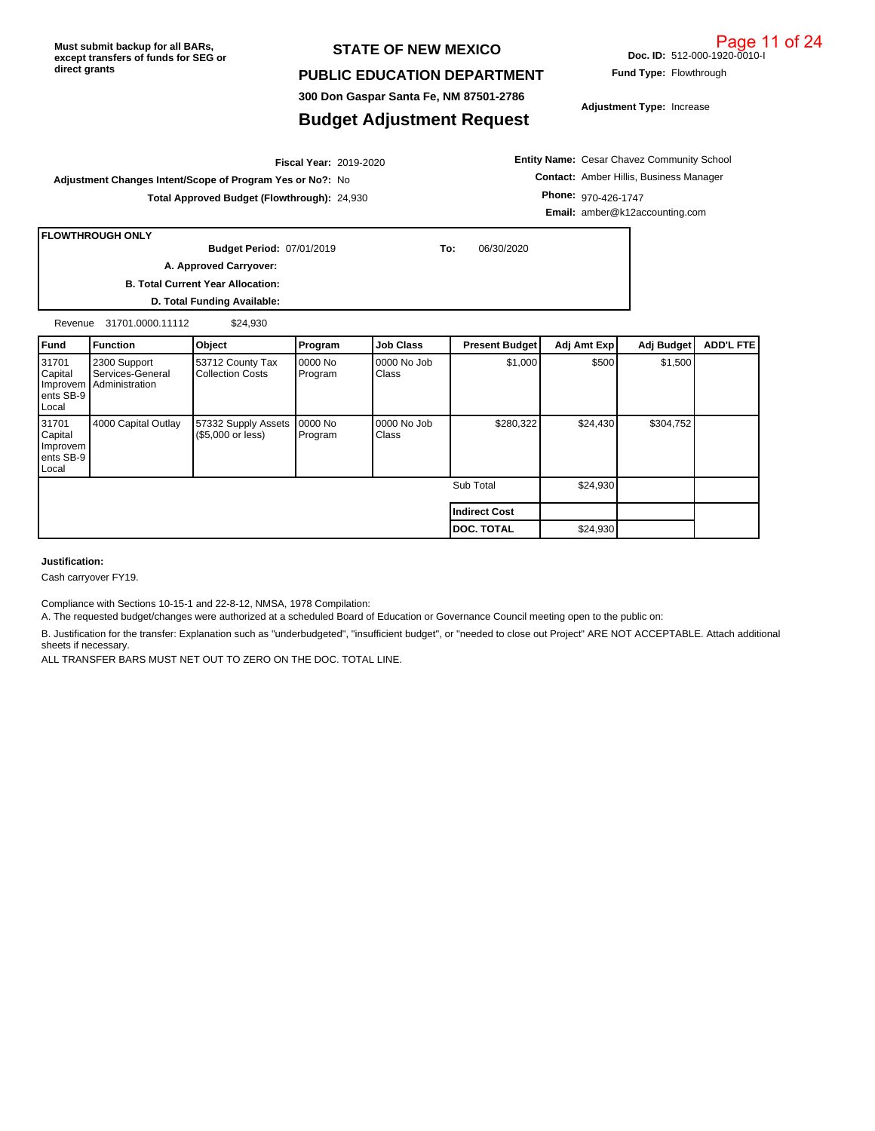#### **STATE OF NEW MEXICO**

#### **PUBLIC EDUCATION DEPARTMENT**

**300 Don Gaspar Santa Fe, NM 87501-2786**

### **Budget Adjustment Request**

07/01/2019 **To:** 06/30/2020 **Budget Period:**

2019-2020 **Fiscal Year: Adjustment Changes Intent/Scope of Program Yes or No?:** No

**Entity Name:** Cesar Chavez Community School **Contact:** Amber Hillis, Business Manager **Phone:** 970-426-1747 **Email:** amber@k12accounting.com

**Total Approved Budget (Flowthrough):** 24,930

**B. Total Current Year Allocation: D. Total Funding Available: A. Approved Carryover:** 

Revenue 31701.0000.11112 \$24,930

| l Fund                                             | <b>Function</b>                                           | Object                                   | Program            | <b>Job Class</b>     | <b>Present Budget</b> | Adj Amt Exp | Adj Budget | <b>ADD'L FTE</b> |
|----------------------------------------------------|-----------------------------------------------------------|------------------------------------------|--------------------|----------------------|-----------------------|-------------|------------|------------------|
| 31701<br>Capital<br>Improvem<br>ents SB-9<br>Local | 2300 Support<br>Services-General<br><b>Administration</b> | 53712 County Tax<br>Collection Costs     | 0000 No<br>Program | 0000 No Job<br>Class | \$1,000               | \$500       | \$1,500    |                  |
| 31701<br>Capital<br>Improvem<br>ents SB-9<br>Local | 4000 Capital Outlay                                       | 57332 Supply Assets<br>(\$5,000 or less) | 0000 No<br>Program | 0000 No Job<br>Class | \$280,322             | \$24,430    | \$304,752  |                  |
|                                                    |                                                           |                                          |                    |                      | Sub Total             | \$24,930    |            |                  |
|                                                    |                                                           |                                          |                    |                      | <b>Indirect Cost</b>  |             |            |                  |
|                                                    |                                                           |                                          |                    |                      | <b>DOC. TOTAL</b>     | \$24,930    |            |                  |

**Justification:**

Cash carryover FY19.

**FLOWTHROUGH ONLY**

Compliance with Sections 10-15-1 and 22-8-12, NMSA, 1978 Compilation:

A. The requested budget/changes were authorized at a scheduled Board of Education or Governance Council meeting open to the public on:

B. Justification for the transfer: Explanation such as "underbudgeted", "insufficient budget", or "needed to close out Project" ARE NOT ACCEPTABLE. Attach additional sheets if necessary.

ALL TRANSFER BARS MUST NET OUT TO ZERO ON THE DOC. TOTAL LINE.

**Fund Type:** Flowthrough

**Doc. ID:** 512-000-1920-0010-I

**Adjustment Type:** Increase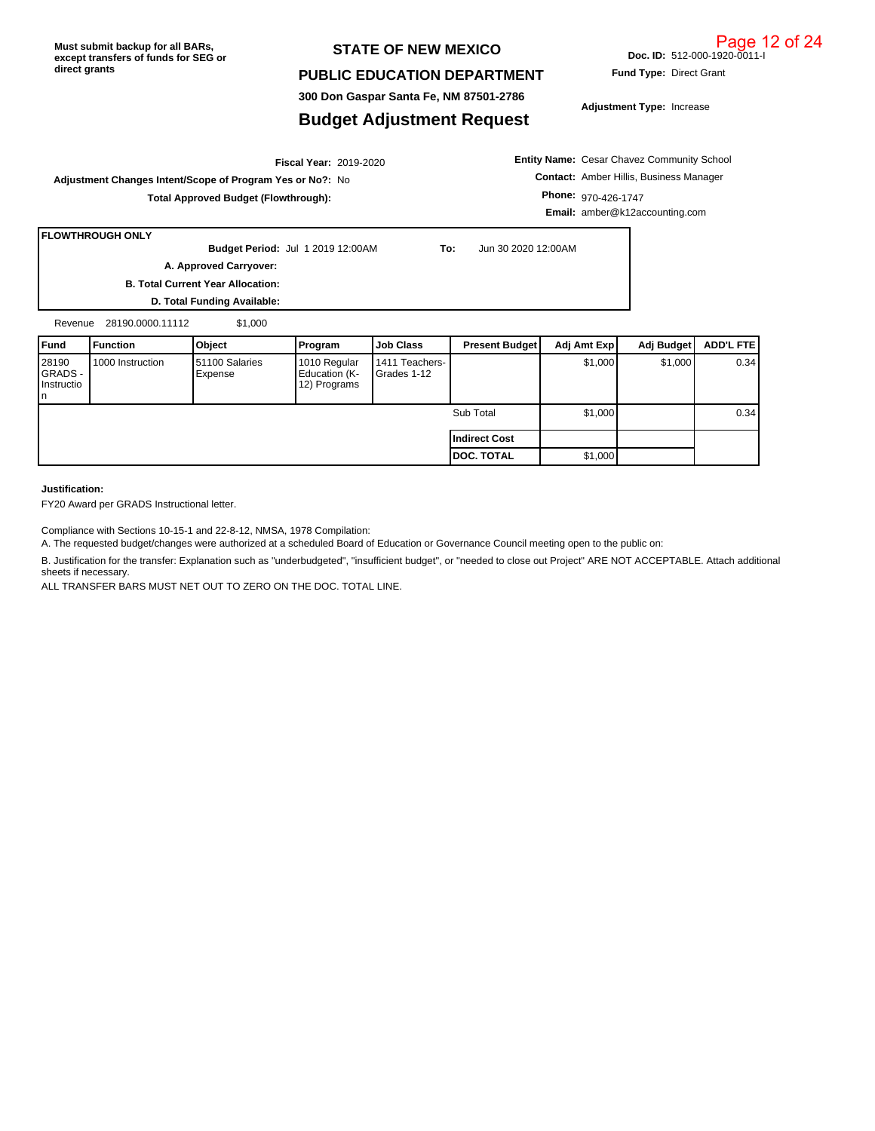#### **STATE OF NEW MEXICO**

#### **PUBLIC EDUCATION DEPARTMENT**

**300 Don Gaspar Santa Fe, NM 87501-2786**

## **Budget Adjustment Request**

**Adjustment Type:** Increase

**Fund Type:** Direct Grant

2019-2020 **Fiscal Year: Adjustment Changes Intent/Scope of Program Yes or No?:** No **Total Approved Budget (Flowthrough):**

**Entity Name:** Cesar Chavez Community School **Contact:** Amber Hillis, Business Manager **Phone:** 970-426-1747 **Email:** amber@k12accounting.com

# **FLOWTHROUGH ONLY**

**Budget Period:** Jul 1 2019 12:00AM **To:** Jun 30 2020 12:00AM **A. Approved Carryover:** 

**B. Total Current Year Allocation:**

**D. Total Funding Available:**

| Revenue                               | 28190.0000.11112 | \$1,000                   |                                               |                               |                       |             |            |           |
|---------------------------------------|------------------|---------------------------|-----------------------------------------------|-------------------------------|-----------------------|-------------|------------|-----------|
| Fund                                  | <b>Function</b>  | Object                    | Program                                       | <b>Job Class</b>              | <b>Present Budget</b> | Adj Amt Exp | Adj Budget | ADD'L FTE |
| 28190<br>GRADS -<br>Instructio<br>In. | 1000 Instruction | 51100 Salaries<br>Expense | 1010 Regular<br>Education (K-<br>12) Programs | 1411 Teachers-<br>Grades 1-12 |                       | \$1,000     | \$1,000    | 0.34      |
|                                       |                  |                           |                                               |                               | Sub Total             | \$1,000     |            | 0.34      |
|                                       |                  |                           |                                               |                               | Indirect Cost         |             |            |           |
|                                       |                  |                           |                                               |                               | <b>DOC. TOTAL</b>     | \$1,000     |            |           |

#### **Justification:**

FY20 Award per GRADS Instructional letter.

Compliance with Sections 10-15-1 and 22-8-12, NMSA, 1978 Compilation:

A. The requested budget/changes were authorized at a scheduled Board of Education or Governance Council meeting open to the public on:

B. Justification for the transfer: Explanation such as "underbudgeted", "insufficient budget", or "needed to close out Project" ARE NOT ACCEPTABLE. Attach additional sheets if necessary.

ALL TRANSFER BARS MUST NET OUT TO ZERO ON THE DOC. TOTAL LINE.

**Doc. ID:** 512-000-1920-0011-I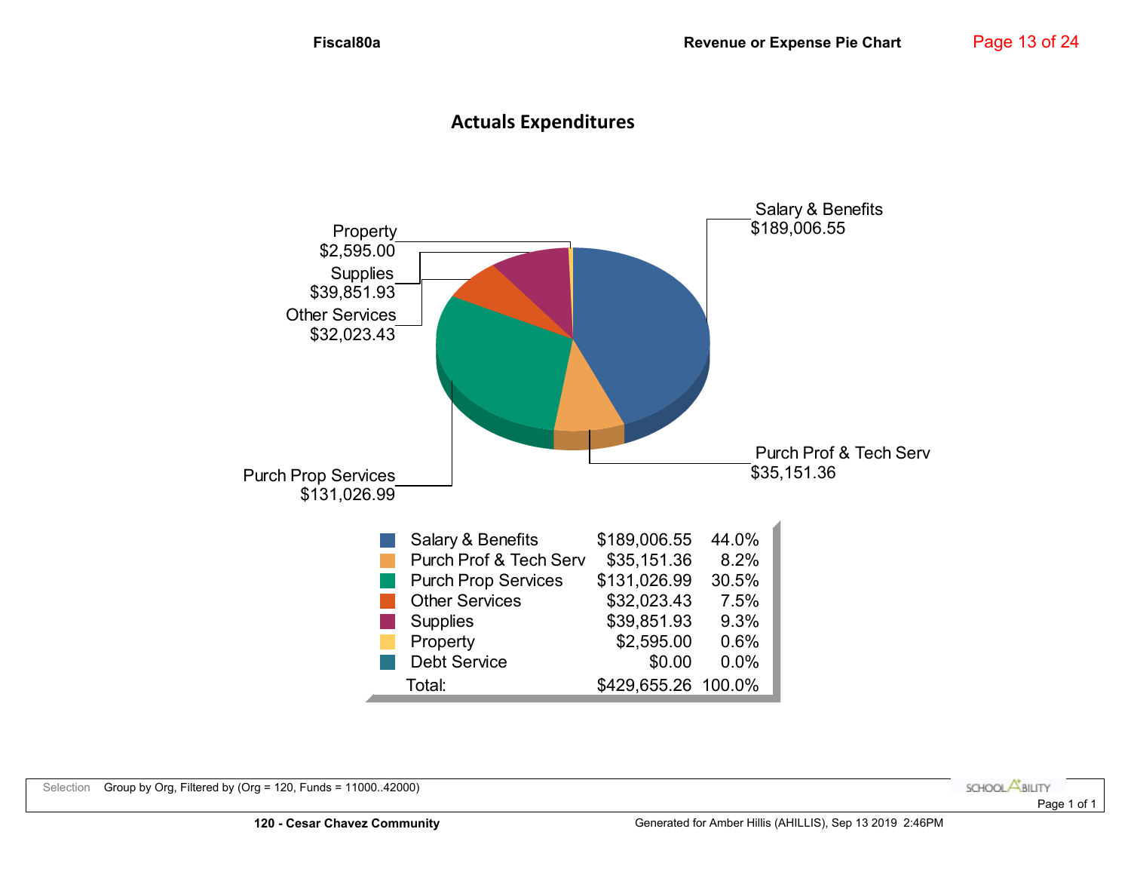# **Actuals Expenditures**

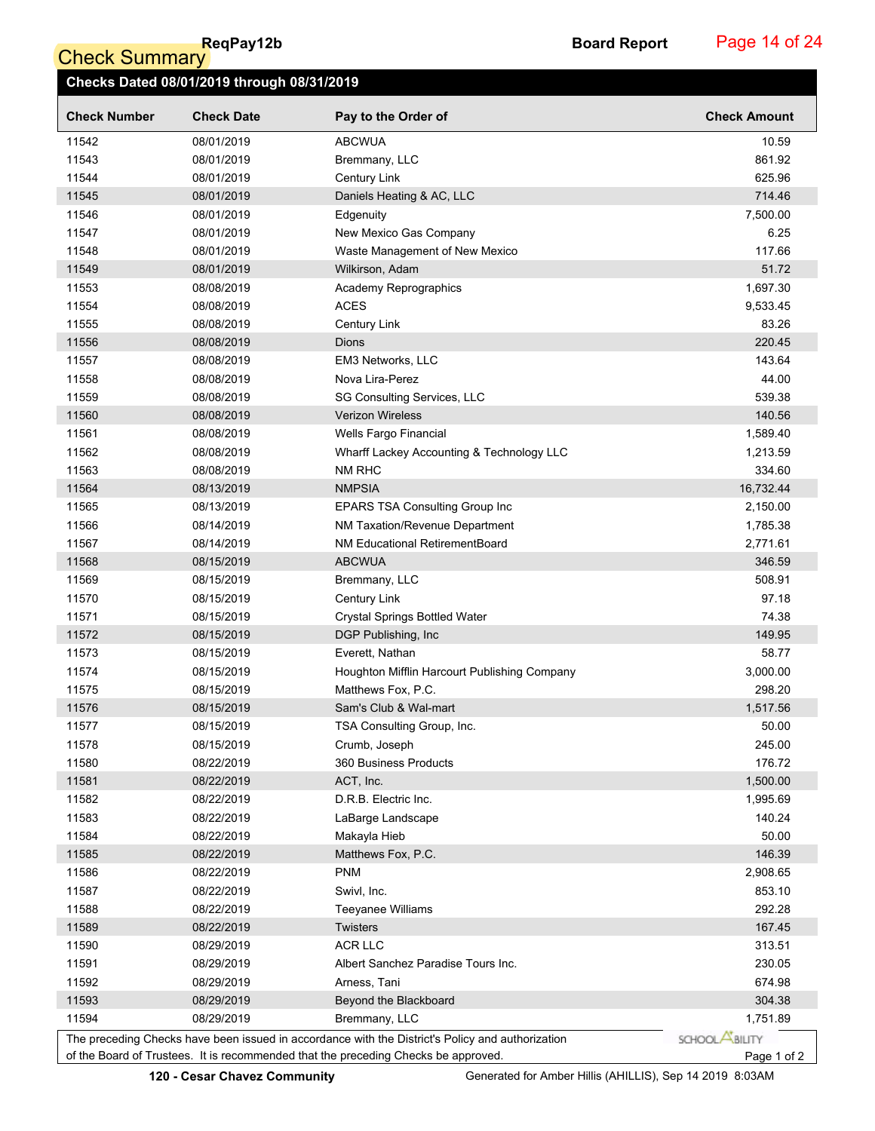ReqPay12b<br>Check Summary

Page 14 of 24

|                     | Checks Dated 08/01/2019 through 08/31/2019 |                                                                                                  |                       |
|---------------------|--------------------------------------------|--------------------------------------------------------------------------------------------------|-----------------------|
| <b>Check Number</b> | <b>Check Date</b>                          | Pay to the Order of                                                                              | <b>Check Amount</b>   |
| 11542               | 08/01/2019                                 | <b>ABCWUA</b>                                                                                    | 10.59                 |
| 11543               | 08/01/2019                                 | Bremmany, LLC                                                                                    | 861.92                |
| 11544               | 08/01/2019                                 | <b>Century Link</b>                                                                              | 625.96                |
| 11545               | 08/01/2019                                 | Daniels Heating & AC, LLC                                                                        | 714.46                |
| 11546               | 08/01/2019                                 | Edgenuity                                                                                        | 7,500.00              |
| 11547               | 08/01/2019                                 | New Mexico Gas Company                                                                           | 6.25                  |
| 11548               | 08/01/2019                                 | Waste Management of New Mexico                                                                   | 117.66                |
| 11549               | 08/01/2019                                 | Wilkirson, Adam                                                                                  | 51.72                 |
| 11553               | 08/08/2019                                 | Academy Reprographics                                                                            | 1,697.30              |
| 11554               | 08/08/2019                                 | <b>ACES</b>                                                                                      | 9,533.45              |
| 11555               | 08/08/2019                                 | Century Link                                                                                     | 83.26                 |
| 11556               | 08/08/2019                                 | Dions                                                                                            | 220.45                |
| 11557               | 08/08/2019                                 | EM3 Networks, LLC                                                                                | 143.64                |
| 11558               | 08/08/2019                                 | Nova Lira-Perez                                                                                  | 44.00                 |
| 11559               | 08/08/2019                                 | SG Consulting Services, LLC                                                                      | 539.38                |
| 11560               | 08/08/2019                                 | <b>Verizon Wireless</b>                                                                          | 140.56                |
| 11561               | 08/08/2019                                 | Wells Fargo Financial                                                                            | 1,589.40              |
| 11562               | 08/08/2019                                 | Wharff Lackey Accounting & Technology LLC                                                        | 1,213.59              |
| 11563               | 08/08/2019                                 | NM RHC                                                                                           | 334.60                |
| 11564               | 08/13/2019                                 | <b>NMPSIA</b>                                                                                    | 16,732.44             |
| 11565               | 08/13/2019                                 | <b>EPARS TSA Consulting Group Inc</b>                                                            | 2,150.00              |
| 11566               | 08/14/2019                                 | NM Taxation/Revenue Department                                                                   | 1,785.38              |
| 11567               | 08/14/2019                                 | <b>NM Educational RetirementBoard</b>                                                            | 2,771.61              |
| 11568               | 08/15/2019                                 | <b>ABCWUA</b>                                                                                    | 346.59                |
| 11569               | 08/15/2019                                 | Bremmany, LLC                                                                                    | 508.91                |
| 11570               | 08/15/2019                                 | Century Link                                                                                     | 97.18                 |
| 11571               | 08/15/2019                                 | <b>Crystal Springs Bottled Water</b>                                                             | 74.38                 |
| 11572               | 08/15/2019                                 | DGP Publishing, Inc                                                                              | 149.95                |
| 11573               | 08/15/2019                                 | Everett, Nathan                                                                                  | 58.77                 |
| 11574               | 08/15/2019                                 | Houghton Mifflin Harcourt Publishing Company                                                     | 3,000.00              |
| 11575               | 08/15/2019                                 | Matthews Fox, P.C.                                                                               | 298.20                |
| 11576               | 08/15/2019                                 | Sam's Club & Wal-mart                                                                            | 1,517.56              |
| 11577               | 08/15/2019                                 | TSA Consulting Group, Inc.                                                                       | 50.00                 |
| 11578               | 08/15/2019                                 | Crumb, Joseph                                                                                    | 245.00                |
| 11580               | 08/22/2019                                 | 360 Business Products                                                                            | 176.72                |
| 11581               | 08/22/2019                                 | ACT, Inc.                                                                                        | 1,500.00              |
| 11582               | 08/22/2019                                 | D.R.B. Electric Inc.                                                                             | 1,995.69              |
| 11583               | 08/22/2019                                 | LaBarge Landscape                                                                                | 140.24                |
| 11584               | 08/22/2019                                 | Makayla Hieb                                                                                     | 50.00                 |
| 11585               | 08/22/2019                                 | Matthews Fox, P.C.                                                                               | 146.39                |
| 11586               | 08/22/2019                                 | <b>PNM</b>                                                                                       | 2,908.65              |
| 11587               | 08/22/2019                                 | Swivl, Inc.                                                                                      | 853.10                |
| 11588               | 08/22/2019                                 | <b>Teeyanee Williams</b>                                                                         | 292.28                |
| 11589               | 08/22/2019                                 | Twisters                                                                                         | 167.45                |
| 11590               | 08/29/2019                                 | <b>ACR LLC</b>                                                                                   | 313.51                |
| 11591               | 08/29/2019                                 | Albert Sanchez Paradise Tours Inc.                                                               | 230.05                |
| 11592               | 08/29/2019                                 | Arness, Tani                                                                                     | 674.98                |
| 11593               | 08/29/2019                                 | Beyond the Blackboard                                                                            | 304.38                |
| 11594               | 08/29/2019                                 | Bremmany, LLC                                                                                    | 1,751.89              |
|                     |                                            | The preceding Checks have been issued in accordance with the District's Policy and authorization | SCHOOL <b>ABILITY</b> |
|                     |                                            | of the Board of Trustees. It is recommended that the preceding Checks be approved.               | Page 1 of 2           |

**120 - Cesar Chavez Community** Generated for Amber Hillis (AHILLIS), Sep 14 2019 8:03AM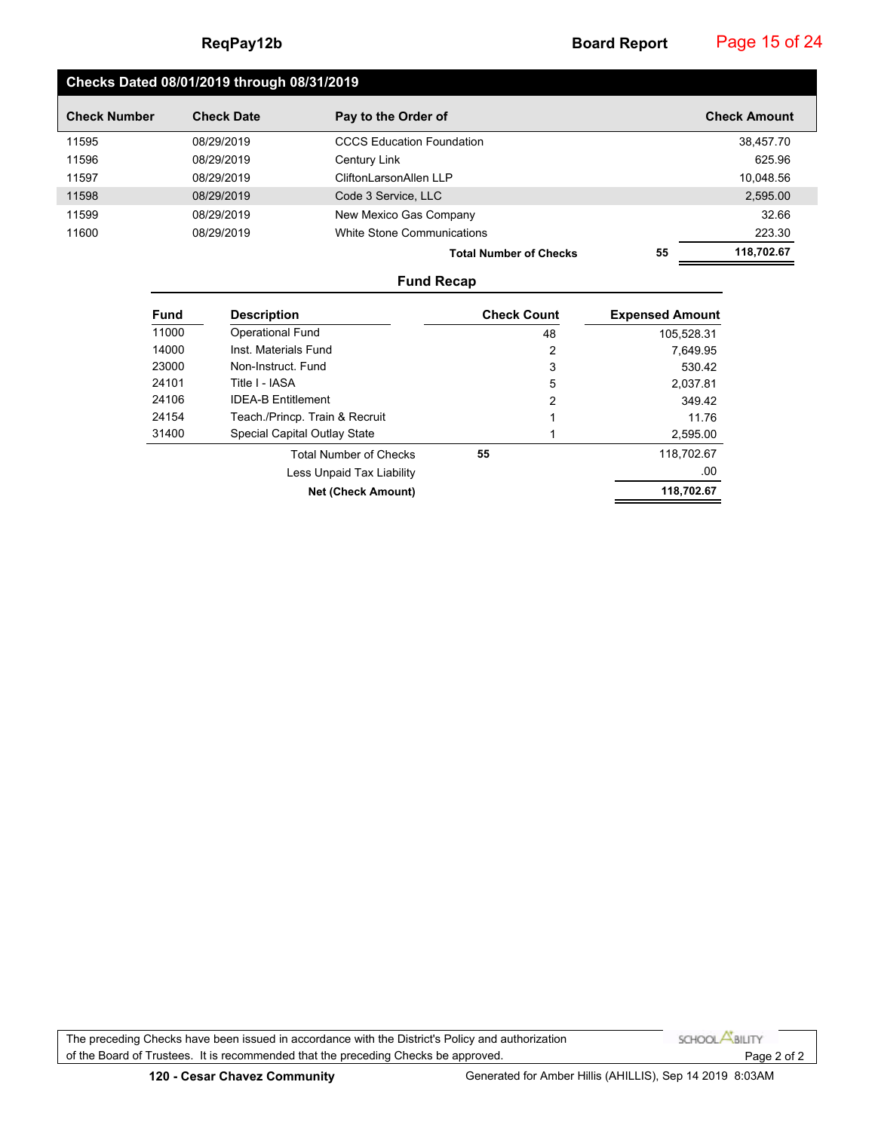Page 15 of 24

# **Checks Dated 08/01/2019 through 08/31/2019**

| <b>Check Number</b> | <b>Check Date</b> | Pay to the Order of              |    | <b>Check Amount</b> |
|---------------------|-------------------|----------------------------------|----|---------------------|
| 11595               | 08/29/2019        | <b>CCCS Education Foundation</b> |    | 38.457.70           |
| 11596               | 08/29/2019        | Century Link                     |    | 625.96              |
| 11597               | 08/29/2019        | CliftonLarsonAllen LLP           |    | 10.048.56           |
| 11598               | 08/29/2019        | Code 3 Service, LLC              |    | 2,595.00            |
| 11599               | 08/29/2019        | New Mexico Gas Company           |    | 32.66               |
| 11600               | 08/29/2019        | White Stone Communications       |    | 223.30              |
|                     |                   | <b>Total Number of Checks</b>    | 55 | 118,702.67          |

#### **Fund Recap**

| <b>Fund</b> | <b>Description</b>              | <b>Check Count</b> | <b>Expensed Amount</b> |
|-------------|---------------------------------|--------------------|------------------------|
| 11000       | <b>Operational Fund</b>         | 48                 | 105,528.31             |
| 14000       | Inst. Materials Fund            | 2                  | 7.649.95               |
| 23000       | Non-Instruct. Fund              | 3                  | 530.42                 |
| 24101       | Title I - IASA                  | 5                  | 2.037.81               |
| 24106       | <b>IDEA-B Entitlement</b>       | 2                  | 349.42                 |
| 24154       | Teach / Princp. Train & Recruit |                    | 11.76                  |
| 31400       | Special Capital Outlay State    |                    | 2,595.00               |
|             | <b>Total Number of Checks</b>   | 55                 | 118,702.67             |
|             | Less Unpaid Tax Liability       |                    | .00                    |
|             | <b>Net (Check Amount)</b>       |                    | 118,702.67             |

The preceding Checks have been issued in accordance with the District's Policy and authorization SCHOOL **ABILITY** of the Board of Trustees. It is recommended that the preceding Checks be approved. Page 2 of 2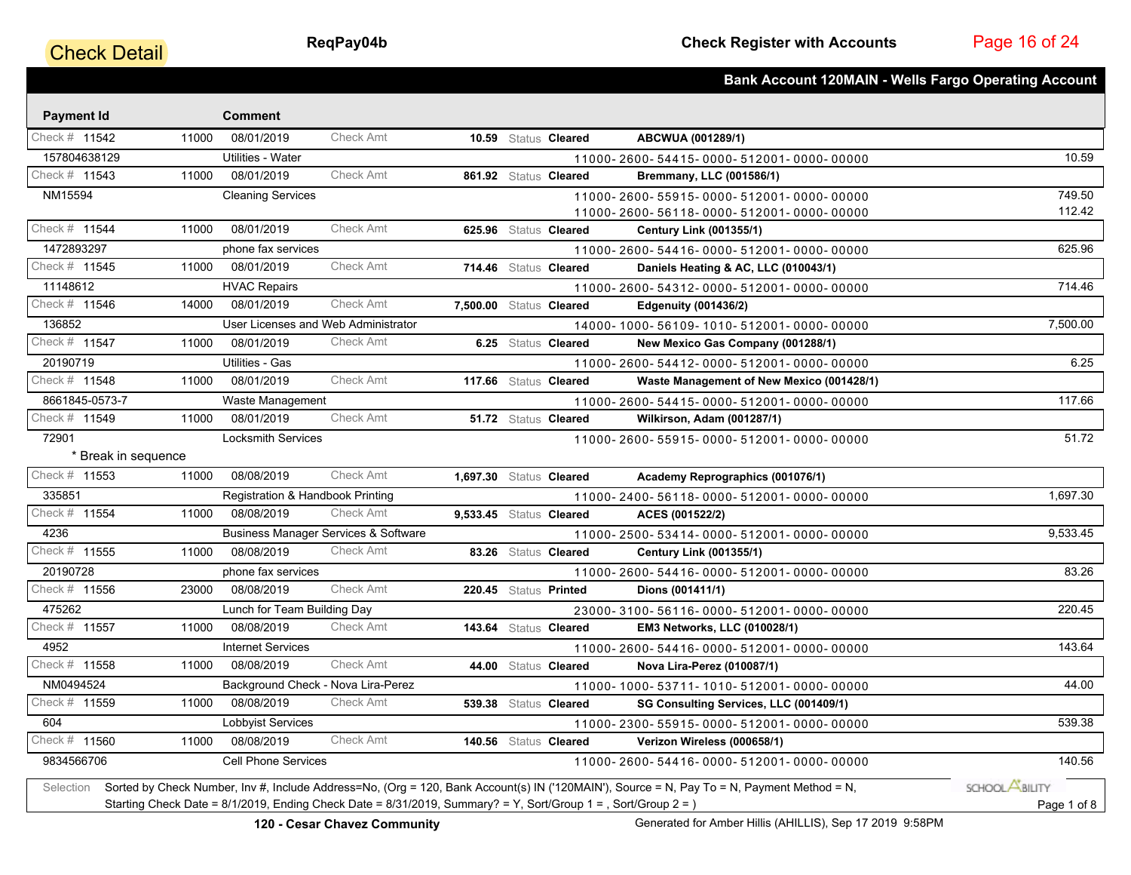# **Check Detail**

Page 16 of 24

|                     |       |                                  |                                                                                                                |                         |                       | <b>Bank Account 120MAIN - Wells Fargo Operating Account</b>                                                                                |                       |
|---------------------|-------|----------------------------------|----------------------------------------------------------------------------------------------------------------|-------------------------|-----------------------|--------------------------------------------------------------------------------------------------------------------------------------------|-----------------------|
| <b>Payment Id</b>   |       | <b>Comment</b>                   |                                                                                                                |                         |                       |                                                                                                                                            |                       |
| Check # 11542       | 11000 | 08/01/2019                       | <b>Check Amt</b>                                                                                               |                         | 10.59 Status Cleared  | ABCWUA (001289/1)                                                                                                                          |                       |
| 157804638129        |       | Utilities - Water                |                                                                                                                |                         |                       | 11000-2600-54415-0000-512001-0000-00000                                                                                                    | 10.59                 |
| Check # 11543       | 11000 | 08/01/2019                       | <b>Check Amt</b>                                                                                               |                         | 861.92 Status Cleared | Bremmany, LLC (001586/1)                                                                                                                   |                       |
| NM15594             |       | <b>Cleaning Services</b>         |                                                                                                                |                         |                       | 11000-2600-55915-0000-512001-0000-00000                                                                                                    | 749.50                |
|                     |       |                                  |                                                                                                                |                         |                       | 11000-2600-56118-0000-512001-0000-00000                                                                                                    | 112.42                |
| Check # 11544       | 11000 | 08/01/2019                       | <b>Check Amt</b>                                                                                               |                         | 625.96 Status Cleared | <b>Century Link (001355/1)</b>                                                                                                             |                       |
| 1472893297          |       | phone fax services               |                                                                                                                |                         |                       | 11000-2600-54416-0000-512001-0000-00000                                                                                                    | 625.96                |
| Check # 11545       | 11000 | 08/01/2019                       | Check Amt                                                                                                      |                         | 714.46 Status Cleared | Daniels Heating & AC, LLC (010043/1)                                                                                                       |                       |
| 11148612            |       | <b>HVAC Repairs</b>              |                                                                                                                |                         |                       | 11000-2600-54312-0000-512001-0000-00000                                                                                                    | 714.46                |
| Check # 11546       | 14000 | 08/01/2019                       | <b>Check Amt</b>                                                                                               | 7,500.00 Status Cleared |                       | <b>Edgenuity (001436/2)</b>                                                                                                                |                       |
| 136852              |       |                                  | User Licenses and Web Administrator                                                                            |                         |                       | 14000-1000-56109-1010-512001-0000-00000                                                                                                    | 7,500.00              |
| Check # 11547       | 11000 | 08/01/2019                       | <b>Check Amt</b>                                                                                               |                         | 6.25 Status Cleared   | New Mexico Gas Company (001288/1)                                                                                                          |                       |
| 20190719            |       | Utilities - Gas                  |                                                                                                                |                         |                       | 11000-2600-54412-0000-512001-0000-00000                                                                                                    | 6.25                  |
| Check # 11548       | 11000 | 08/01/2019                       | <b>Check Amt</b>                                                                                               |                         | 117.66 Status Cleared | Waste Management of New Mexico (001428/1)                                                                                                  |                       |
| 8661845-0573-7      |       | Waste Management                 |                                                                                                                |                         |                       | 11000-2600-54415-0000-512001-0000-00000                                                                                                    | 117.66                |
| Check # 11549       | 11000 | 08/01/2019                       | <b>Check Amt</b>                                                                                               |                         | 51.72 Status Cleared  | Wilkirson, Adam (001287/1)                                                                                                                 |                       |
| 72901               |       | <b>Locksmith Services</b>        |                                                                                                                |                         |                       | 11000-2600-55915-0000-512001-0000-00000                                                                                                    | 51.72                 |
| * Break in sequence |       |                                  |                                                                                                                |                         |                       |                                                                                                                                            |                       |
| Check # 11553       | 11000 | 08/08/2019                       | <b>Check Amt</b>                                                                                               | 1,697.30 Status Cleared |                       | Academy Reprographics (001076/1)                                                                                                           |                       |
| 335851              |       | Registration & Handbook Printing |                                                                                                                |                         |                       | 11000-2400-56118-0000-512001-0000-00000                                                                                                    | 1,697.30              |
| Check # 11554       | 11000 | 08/08/2019                       | <b>Check Amt</b>                                                                                               | 9,533.45 Status Cleared |                       | ACES (001522/2)                                                                                                                            |                       |
| 4236                |       |                                  | <b>Business Manager Services &amp; Software</b>                                                                |                         |                       | 11000-2500-53414-0000-512001-0000-00000                                                                                                    | 9,533.45              |
| Check # 11555       | 11000 | 08/08/2019                       | <b>Check Amt</b>                                                                                               |                         | 83.26 Status Cleared  | <b>Century Link (001355/1)</b>                                                                                                             |                       |
| 20190728            |       | phone fax services               |                                                                                                                |                         |                       | 11000-2600-54416-0000-512001-0000-00000                                                                                                    | 83.26                 |
| Check # 11556       | 23000 | 08/08/2019                       | <b>Check Amt</b>                                                                                               |                         | 220.45 Status Printed | Dions (001411/1)                                                                                                                           |                       |
| 475262              |       | Lunch for Team Building Day      |                                                                                                                |                         |                       | 23000-3100-56116-0000-512001-0000-00000                                                                                                    | 220.45                |
| Check # 11557       | 11000 | 08/08/2019                       | <b>Check Amt</b>                                                                                               |                         | 143.64 Status Cleared | <b>EM3 Networks, LLC (010028/1)</b>                                                                                                        |                       |
| 4952                |       | <b>Internet Services</b>         |                                                                                                                |                         |                       | 11000-2600-54416-0000-512001-0000-00000                                                                                                    | 143.64                |
| Check # 11558       | 11000 | 08/08/2019                       | <b>Check Amt</b>                                                                                               |                         | 44.00 Status Cleared  | Nova Lira-Perez (010087/1)                                                                                                                 |                       |
| NM0494524           |       |                                  | Background Check - Nova Lira-Perez                                                                             |                         |                       | 11000-1000-53711-1010-512001-0000-00000                                                                                                    | 44.00                 |
| Check # 11559       | 11000 | 08/08/2019                       | <b>Check Amt</b>                                                                                               |                         | 539.38 Status Cleared | SG Consulting Services, LLC (001409/1)                                                                                                     |                       |
| 604                 |       | Lobbyist Services                |                                                                                                                |                         |                       | 11000-2300-55915-0000-512001-0000-00000                                                                                                    | 539.38                |
| Check # 11560       | 11000 | 08/08/2019                       | <b>Check Amt</b>                                                                                               |                         | 140.56 Status Cleared | Verizon Wireless (000658/1)                                                                                                                |                       |
| 9834566706          |       | <b>Cell Phone Services</b>       |                                                                                                                |                         |                       | 11000-2600-54416-0000-512001-0000-00000                                                                                                    | 140.56                |
| Selection           |       |                                  |                                                                                                                |                         |                       | Sorted by Check Number, Inv #, Include Address=No, (Org = 120, Bank Account(s) IN ('120MAIN'), Source = N, Pay To = N, Payment Method = N, | SCHOOL <b>ABILITY</b> |
|                     |       |                                  | Starting Check Date = 8/1/2019, Ending Check Date = 8/31/2019, Summary? = Y, Sort/Group 1 = , Sort/Group 2 = ) |                         |                       |                                                                                                                                            | Page 1 of 8           |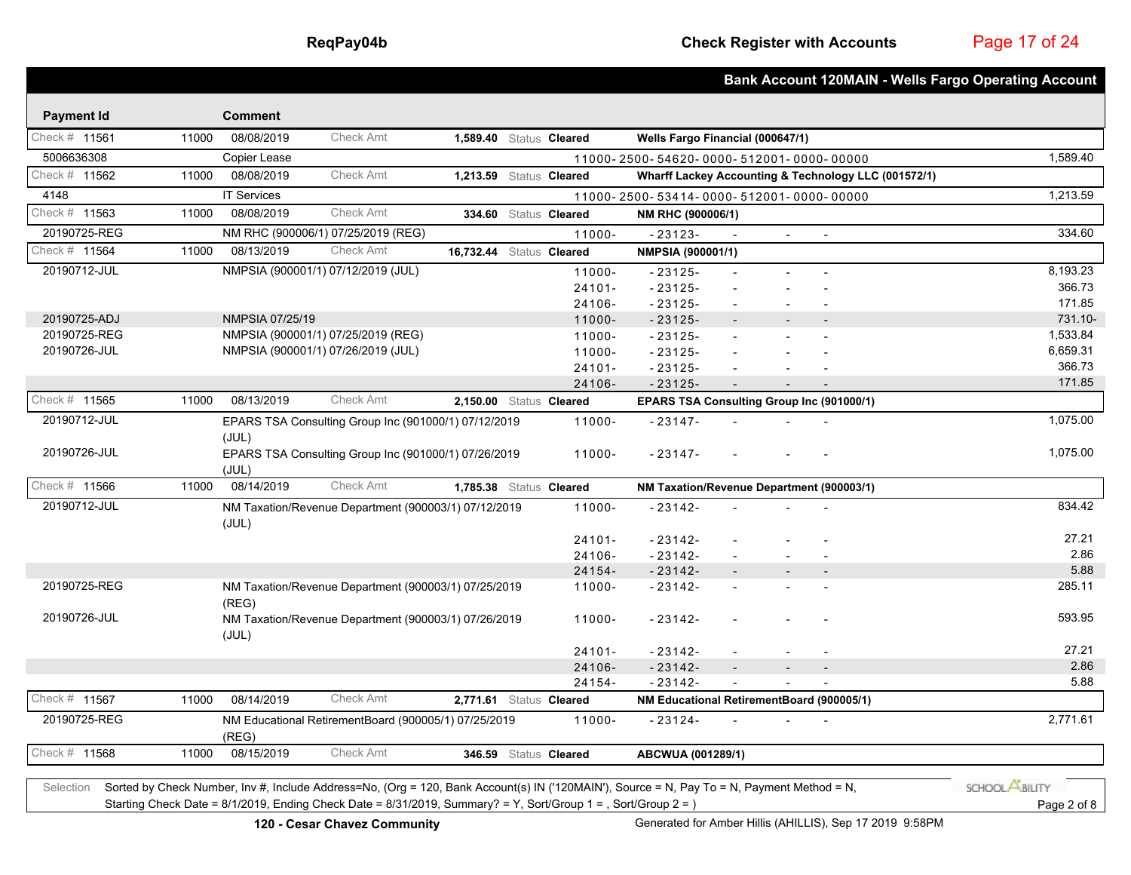Page 17 of 24

|                   |       |                        |                                                                                                                                            |                          |                       |                                           |                          |        |                                                      | <b>Bank Account 120MAIN - Wells Fargo Operating Account</b> |
|-------------------|-------|------------------------|--------------------------------------------------------------------------------------------------------------------------------------------|--------------------------|-----------------------|-------------------------------------------|--------------------------|--------|------------------------------------------------------|-------------------------------------------------------------|
| <b>Payment Id</b> |       | <b>Comment</b>         |                                                                                                                                            |                          |                       |                                           |                          |        |                                                      |                                                             |
| Check # 11561     | 11000 | 08/08/2019             | <b>Check Amt</b>                                                                                                                           | 1,589.40 Status Cleared  |                       | Wells Fargo Financial (000647/1)          |                          |        |                                                      |                                                             |
| 5006636308        |       | Copier Lease           |                                                                                                                                            |                          |                       | 11000-2500-54620-0000-512001-0000-00000   |                          |        |                                                      | 1,589.40                                                    |
| Check # 11562     | 11000 | 08/08/2019             | <b>Check Amt</b>                                                                                                                           | 1,213.59 Status Cleared  |                       |                                           |                          |        | Wharff Lackey Accounting & Technology LLC (001572/1) |                                                             |
| 4148              |       | <b>IT Services</b>     |                                                                                                                                            |                          |                       | 11000-2500-53414-0000-512001-0000-00000   |                          |        |                                                      | 1,213.59                                                    |
| Check # 11563     | 11000 | 08/08/2019             | <b>Check Amt</b>                                                                                                                           |                          | 334.60 Status Cleared | NM RHC (900006/1)                         |                          |        |                                                      |                                                             |
| 20190725-REG      |       |                        | NM RHC (900006/1) 07/25/2019 (REG)                                                                                                         |                          | 11000-                | $-23123-$                                 |                          | $\sim$ | $\blacksquare$                                       | 334.60                                                      |
| Check # 11564     | 11000 | 08/13/2019             | <b>Check Amt</b>                                                                                                                           | 16,732.44 Status Cleared |                       | NMPSIA (900001/1)                         |                          |        |                                                      |                                                             |
| 20190712-JUL      |       |                        | NMPSIA (900001/1) 07/12/2019 (JUL)                                                                                                         |                          | 11000-                | $-23125-$                                 |                          |        |                                                      | 8,193.23                                                    |
|                   |       |                        |                                                                                                                                            |                          | $24101 -$             | $-23125-$                                 |                          |        |                                                      | 366.73                                                      |
|                   |       |                        |                                                                                                                                            |                          | 24106-                | $-23125-$                                 | $\overline{a}$           |        |                                                      | 171.85                                                      |
| 20190725-ADJ      |       | <b>NMPSIA 07/25/19</b> |                                                                                                                                            |                          | 11000-                | $-23125-$                                 |                          |        |                                                      | 731.10-                                                     |
| 20190725-REG      |       |                        | NMPSIA (900001/1) 07/25/2019 (REG)                                                                                                         |                          | 11000-                | $-23125-$                                 |                          |        |                                                      | 1,533.84                                                    |
| 20190726-JUL      |       |                        | NMPSIA (900001/1) 07/26/2019 (JUL)                                                                                                         |                          | 11000-                | $-23125-$                                 | $\overline{\phantom{a}}$ |        |                                                      | 6,659.31                                                    |
|                   |       |                        |                                                                                                                                            |                          | $24101 -$             | $-23125-$                                 |                          |        |                                                      | 366.73                                                      |
|                   |       |                        |                                                                                                                                            |                          | 24106-                | $-23125-$                                 |                          |        |                                                      | 171.85                                                      |
| Check # 11565     | 11000 | 08/13/2019             | <b>Check Amt</b>                                                                                                                           | 2,150.00 Status Cleared  |                       | EPARS TSA Consulting Group Inc (901000/1) |                          |        |                                                      |                                                             |
| 20190712-JUL      |       |                        | EPARS TSA Consulting Group Inc (901000/1) 07/12/2019                                                                                       |                          | 11000-                | $-23147-$                                 |                          |        |                                                      | 1,075.00                                                    |
|                   |       | (JUL)                  |                                                                                                                                            |                          |                       |                                           |                          |        |                                                      |                                                             |
| 20190726-JUL      |       | (JUL)                  | EPARS TSA Consulting Group Inc (901000/1) 07/26/2019                                                                                       |                          | 11000-                | $-23147-$                                 |                          |        |                                                      | 1,075.00                                                    |
| Check # 11566     | 11000 | 08/14/2019             | <b>Check Amt</b>                                                                                                                           | 1,785.38 Status Cleared  |                       | NM Taxation/Revenue Department (900003/1) |                          |        |                                                      |                                                             |
| 20190712-JUL      |       | (JUL)                  | NM Taxation/Revenue Department (900003/1) 07/12/2019                                                                                       |                          | 11000-                | $-23142-$                                 |                          |        |                                                      | 834.42                                                      |
|                   |       |                        |                                                                                                                                            |                          | $24101 -$             | $-23142-$                                 |                          |        |                                                      | 27.21                                                       |
|                   |       |                        |                                                                                                                                            |                          | 24106-                | $-23142-$                                 | $\sim$                   |        |                                                      | 2.86                                                        |
|                   |       |                        |                                                                                                                                            |                          | 24154-                | $-23142-$                                 |                          |        | $\blacksquare$                                       | 5.88                                                        |
| 20190725-REG      |       | (REG)                  | NM Taxation/Revenue Department (900003/1) 07/25/2019                                                                                       |                          | 11000-                | $-23142-$                                 | $\sim$                   |        |                                                      | 285.11                                                      |
| 20190726-JUL      |       |                        | NM Taxation/Revenue Department (900003/1) 07/26/2019                                                                                       |                          | 11000-                | $-23142-$                                 |                          |        |                                                      | 593.95                                                      |
|                   |       | (JUL)                  |                                                                                                                                            |                          | $24101 -$             | $-23142-$                                 |                          |        |                                                      | 27.21                                                       |
|                   |       |                        |                                                                                                                                            |                          | 24106-                | $-23142-$                                 |                          |        |                                                      | 2.86                                                        |
|                   |       |                        |                                                                                                                                            |                          | 24154-                | $-23142-$                                 | $\blacksquare$           |        |                                                      | 5.88                                                        |
| Check # 11567     | 11000 | 08/14/2019             | <b>Check Amt</b>                                                                                                                           | 2,771.61 Status Cleared  |                       | NM Educational RetirementBoard (900005/1) |                          |        |                                                      |                                                             |
| 20190725-REG      |       |                        | NM Educational RetirementBoard (900005/1) 07/25/2019                                                                                       |                          | 11000-                | $-23124-$                                 |                          |        |                                                      | 2,771.61                                                    |
|                   |       | (REG)                  |                                                                                                                                            |                          |                       |                                           |                          |        |                                                      |                                                             |
| Check # 11568     | 11000 | 08/15/2019             | <b>Check Amt</b>                                                                                                                           |                          | 346.59 Status Cleared | ABCWUA (001289/1)                         |                          |        |                                                      |                                                             |
| Selection         |       |                        | Sorted by Check Number, Inv #, Include Address=No, (Org = 120, Bank Account(s) IN ('120MAIN'), Source = N, Pay To = N, Payment Method = N, |                          |                       |                                           |                          |        |                                                      | SCHOOL <b>ABILITY</b>                                       |

Starting Check Date = 8/1/2019, Ending Check Date = 8/31/2019, Summary? = Y, Sort/Group 1 = , Sort/Group 2 = ) Page 2 of 8

**120 - Cesar Chavez Community Community** Generated for Amber Hillis (AHILLIS), Sep 17 2019 9:58PM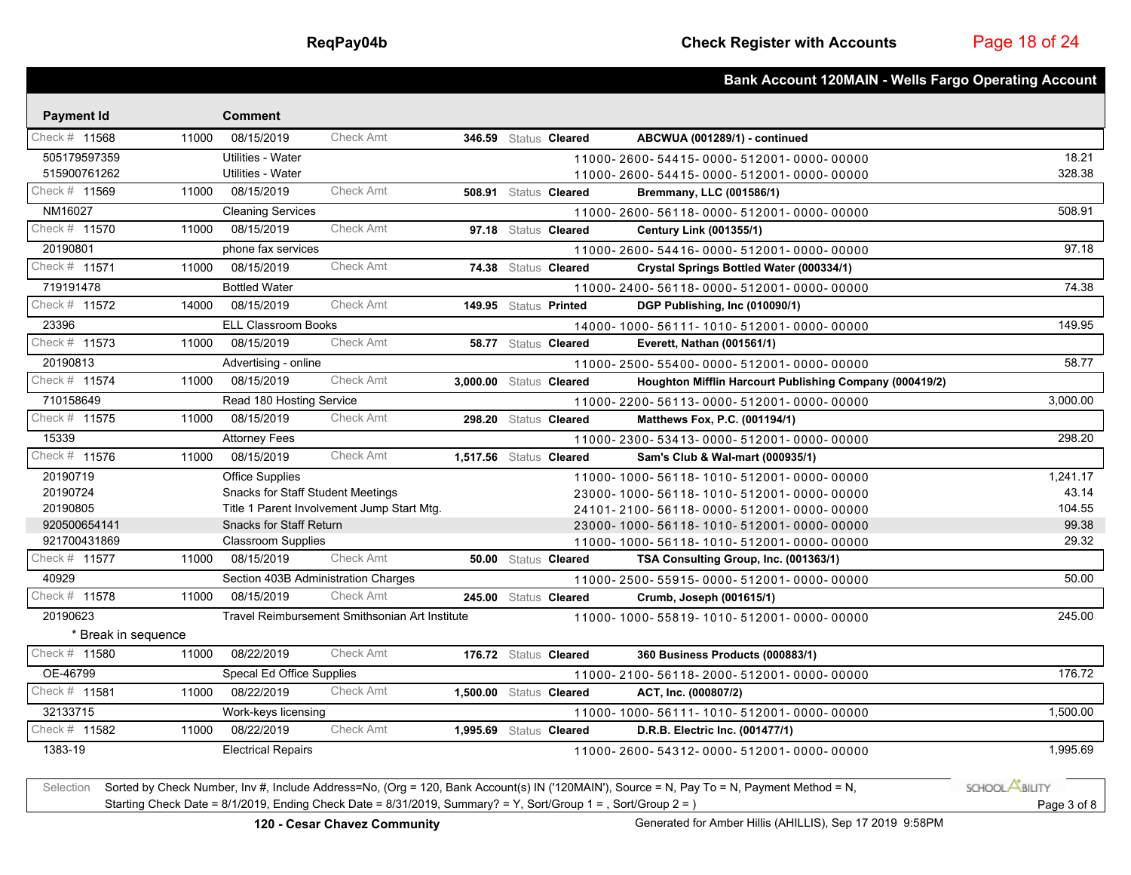|                      |       |                                          |                                                |                         |                       |                                                                                                                                                                                                                                                                                                                   | <b>Bank Account 120MAIN - Wells Fargo Operating Account</b> |
|----------------------|-------|------------------------------------------|------------------------------------------------|-------------------------|-----------------------|-------------------------------------------------------------------------------------------------------------------------------------------------------------------------------------------------------------------------------------------------------------------------------------------------------------------|-------------------------------------------------------------|
| <b>Payment Id</b>    |       | <b>Comment</b>                           |                                                |                         |                       |                                                                                                                                                                                                                                                                                                                   |                                                             |
| Check # 11568        | 11000 | 08/15/2019                               | Check Amt                                      |                         | 346.59 Status Cleared | ABCWUA (001289/1) - continued                                                                                                                                                                                                                                                                                     |                                                             |
| 505179597359         |       | Utilities - Water                        |                                                |                         |                       | 11000-2600-54415-0000-512001-0000-00000                                                                                                                                                                                                                                                                           | 18.21                                                       |
| 515900761262         |       | Utilities - Water                        |                                                |                         |                       | 11000-2600-54415-0000-512001-0000-00000                                                                                                                                                                                                                                                                           | 328.38                                                      |
| Check # 11569        | 11000 | 08/15/2019                               | Check Amt                                      |                         | 508.91 Status Cleared | Bremmany, LLC (001586/1)                                                                                                                                                                                                                                                                                          |                                                             |
| NM16027              |       | <b>Cleaning Services</b>                 |                                                |                         |                       | 11000-2600-56118-0000-512001-0000-00000                                                                                                                                                                                                                                                                           | 508.91                                                      |
| Check # 11570        | 11000 | 08/15/2019                               | <b>Check Amt</b>                               |                         | 97.18 Status Cleared  | <b>Century Link (001355/1)</b>                                                                                                                                                                                                                                                                                    |                                                             |
| 20190801             |       | phone fax services                       |                                                |                         |                       | 11000-2600-54416-0000-512001-0000-00000                                                                                                                                                                                                                                                                           | 97.18                                                       |
| Check # 11571        | 11000 | 08/15/2019                               | Check Amt                                      |                         | 74.38 Status Cleared  | Crystal Springs Bottled Water (000334/1)                                                                                                                                                                                                                                                                          |                                                             |
| 719191478            |       | <b>Bottled Water</b>                     |                                                |                         |                       | 11000-2400-56118-0000-512001-0000-00000                                                                                                                                                                                                                                                                           | 74.38                                                       |
| Check # 11572        | 14000 | 08/15/2019                               | Check Amt                                      |                         | 149.95 Status Printed | DGP Publishing, Inc (010090/1)                                                                                                                                                                                                                                                                                    |                                                             |
| 23396                |       | <b>ELL Classroom Books</b>               |                                                |                         |                       | 14000-1000-56111-1010-512001-0000-00000                                                                                                                                                                                                                                                                           | 149.95                                                      |
| Check # 11573        | 11000 | 08/15/2019                               | <b>Check Amt</b>                               |                         | 58.77 Status Cleared  | Everett, Nathan (001561/1)                                                                                                                                                                                                                                                                                        |                                                             |
| 20190813             |       | Advertising - online                     |                                                |                         |                       | 11000-2500-55400-0000-512001-0000-00000                                                                                                                                                                                                                                                                           | 58.77                                                       |
| Check # 11574        | 11000 | 08/15/2019                               | Check Amt                                      | 3.000.00 Status Cleared |                       | Houghton Mifflin Harcourt Publishing Company (000419/2)                                                                                                                                                                                                                                                           |                                                             |
| 710158649            |       | Read 180 Hosting Service                 |                                                |                         |                       | 11000-2200-56113-0000-512001-0000-00000                                                                                                                                                                                                                                                                           | 3.000.00                                                    |
| Check # 11575        | 11000 | 08/15/2019                               | Check Amt                                      |                         | 298.20 Status Cleared | Matthews Fox, P.C. (001194/1)                                                                                                                                                                                                                                                                                     |                                                             |
| 15339                |       | <b>Attorney Fees</b>                     |                                                |                         |                       | 11000-2300-53413-0000-512001-0000-00000                                                                                                                                                                                                                                                                           | 298.20                                                      |
| Check # 11576        | 11000 | 08/15/2019                               | Check Amt                                      | 1,517.56 Status Cleared |                       | Sam's Club & Wal-mart (000935/1)                                                                                                                                                                                                                                                                                  |                                                             |
| 20190719             |       | <b>Office Supplies</b>                   |                                                |                         |                       | 11000-1000-56118-1010-512001-0000-00000                                                                                                                                                                                                                                                                           | 1,241.17                                                    |
| 20190724             |       | <b>Snacks for Staff Student Meetings</b> |                                                |                         |                       | 23000-1000-56118-1010-512001-0000-00000                                                                                                                                                                                                                                                                           | 43.14                                                       |
| 20190805             |       |                                          | Title 1 Parent Involvement Jump Start Mtg.     |                         |                       | 24101-2100-56118-0000-512001-0000-00000                                                                                                                                                                                                                                                                           | 104.55                                                      |
| 920500654141         |       | <b>Snacks for Staff Return</b>           |                                                |                         |                       | 23000-1000-56118-1010-512001-0000-00000                                                                                                                                                                                                                                                                           | 99.38                                                       |
| 921700431869         |       | <b>Classroom Supplies</b>                |                                                |                         |                       | 11000-1000-56118-1010-512001-0000-00000                                                                                                                                                                                                                                                                           | 29.32                                                       |
| Check # 11577        | 11000 | 08/15/2019                               | Check Amt                                      |                         | 50.00 Status Cleared  | TSA Consulting Group, Inc. (001363/1)                                                                                                                                                                                                                                                                             |                                                             |
| 40929                |       | Section 403B Administration Charges      |                                                |                         |                       | 11000-2500-55915-0000-512001-0000-00000                                                                                                                                                                                                                                                                           | 50.00                                                       |
| Check # 11578        | 11000 | 08/15/2019                               | Check Amt                                      |                         | 245.00 Status Cleared | Crumb, Joseph (001615/1)                                                                                                                                                                                                                                                                                          |                                                             |
| 20190623             |       |                                          | Travel Reimbursement Smithsonian Art Institute |                         |                       | 11000-1000-55819-1010-512001-0000-00000                                                                                                                                                                                                                                                                           | 245.00                                                      |
| * Break in sequence  |       |                                          |                                                |                         |                       |                                                                                                                                                                                                                                                                                                                   |                                                             |
| Check # 11580        | 11000 | 08/22/2019                               | <b>Check Amt</b>                               |                         | 176.72 Status Cleared | 360 Business Products (000883/1)                                                                                                                                                                                                                                                                                  |                                                             |
| OE-46799             |       | Specal Ed Office Supplies                |                                                |                         |                       | 11000-2100-56118-2000-512001-0000-00000                                                                                                                                                                                                                                                                           | 176.72                                                      |
| Check # 11581        | 11000 | 08/22/2019                               | <b>Check Amt</b>                               | 1,500.00 Status Cleared |                       | ACT, Inc. (000807/2)                                                                                                                                                                                                                                                                                              |                                                             |
| 32133715             |       | Work-keys licensing                      |                                                |                         |                       | 11000-1000-56111-1010-512001-0000-00000                                                                                                                                                                                                                                                                           | 1,500.00                                                    |
| Check # 11582        | 11000 | 08/22/2019                               | <b>Check Amt</b>                               | 1,995.69 Status Cleared |                       | D.R.B. Electric Inc. (001477/1)                                                                                                                                                                                                                                                                                   |                                                             |
| 1383-19              |       | <b>Electrical Repairs</b>                |                                                |                         |                       | 11000-2600-54312-0000-512001-0000-00000                                                                                                                                                                                                                                                                           | 1,995.69                                                    |
|                      |       |                                          |                                                |                         |                       |                                                                                                                                                                                                                                                                                                                   |                                                             |
| $\sim$ $\sim$ $\sim$ |       |                                          |                                                | $\sqrt{2}$              |                       | $\mathcal{U}$ and $\mathcal{U}$ and $\mathcal{U}$ and $\mathcal{U}$ and $\mathcal{U}$ and $\mathcal{U}$ and $\mathcal{U}$ and $\mathcal{U}$ and $\mathcal{U}$ and $\mathcal{U}$ and $\mathcal{U}$ and $\mathcal{U}$ and $\mathcal{U}$ and $\mathcal{U}$ and $\mathcal{U}$ and $\mathcal{U}$ and $\mathcal{U}$ and |                                                             |

Selection Sorted by Check Number, Inv #, Include Address=No, (Org = 120, Bank Account(s) IN ('120MAIN'), Source = N, Pay To = N, Payment Method = N, **SCHOOLABILITY** Starting Check Date = 8/1/2019, Ending Check Date = 8/31/2019, Summary? = Y, Sort/Group 1 = , Sort/Group 2 = ) Page 3 of 8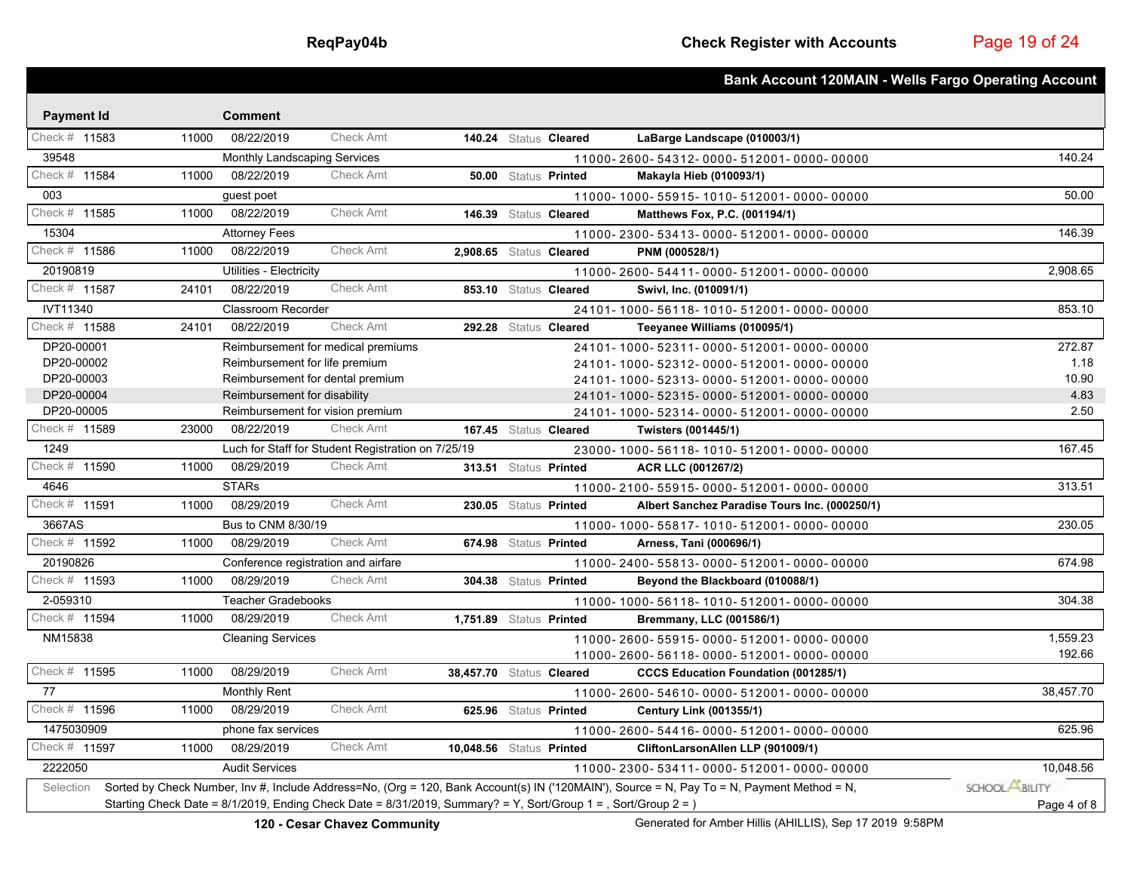|                   |                                                                                                                |                                     |                                                    |                          |                       |                                                                                                                                            | <b>Bank Account 120MAIN - Wells Fargo Operating Account</b> |
|-------------------|----------------------------------------------------------------------------------------------------------------|-------------------------------------|----------------------------------------------------|--------------------------|-----------------------|--------------------------------------------------------------------------------------------------------------------------------------------|-------------------------------------------------------------|
| <b>Payment Id</b> |                                                                                                                | <b>Comment</b>                      |                                                    |                          |                       |                                                                                                                                            |                                                             |
| Check # 11583     | 11000                                                                                                          | 08/22/2019                          | <b>Check Amt</b>                                   |                          | 140.24 Status Cleared | LaBarge Landscape (010003/1)                                                                                                               |                                                             |
| 39548             |                                                                                                                | <b>Monthly Landscaping Services</b> |                                                    |                          |                       | 11000-2600-54312-0000-512001-0000-00000                                                                                                    | 140.24                                                      |
| Check # 11584     | 11000                                                                                                          | 08/22/2019                          | <b>Check Amt</b>                                   |                          | 50.00 Status Printed  | <b>Makayla Hieb (010093/1)</b>                                                                                                             |                                                             |
| 003               |                                                                                                                | guest poet                          |                                                    |                          |                       | 11000-1000-55915-1010-512001-0000-00000                                                                                                    | 50.00                                                       |
| Check # 11585     | 11000                                                                                                          | 08/22/2019                          | <b>Check Amt</b>                                   |                          | 146.39 Status Cleared | Matthews Fox, P.C. (001194/1)                                                                                                              |                                                             |
| 15304             |                                                                                                                | <b>Attorney Fees</b>                |                                                    |                          |                       | 11000-2300-53413-0000-512001-0000-00000                                                                                                    | 146.39                                                      |
| Check # 11586     | 11000                                                                                                          | 08/22/2019                          | <b>Check Amt</b>                                   | 2,908.65 Status Cleared  |                       | PNM (000528/1)                                                                                                                             |                                                             |
| 20190819          |                                                                                                                | Utilities - Electricity             |                                                    |                          |                       | 11000-2600-54411-0000-512001-0000-00000                                                                                                    | 2,908.65                                                    |
| Check # 11587     | 24101                                                                                                          | 08/22/2019                          | <b>Check Amt</b>                                   |                          | 853.10 Status Cleared | Swivl, Inc. (010091/1)                                                                                                                     |                                                             |
| IVT11340          |                                                                                                                | <b>Classroom Recorder</b>           |                                                    |                          |                       | 24101-1000-56118-1010-512001-0000-00000                                                                                                    | 853.10                                                      |
| Check # 11588     | 24101                                                                                                          | 08/22/2019                          | <b>Check Amt</b>                                   |                          | 292.28 Status Cleared | Teeyanee Williams (010095/1)                                                                                                               |                                                             |
| DP20-00001        |                                                                                                                |                                     | Reimbursement for medical premiums                 |                          |                       | 24101-1000-52311-0000-512001-0000-00000                                                                                                    | 272.87                                                      |
| DP20-00002        |                                                                                                                | Reimbursement for life premium      |                                                    |                          |                       | 24101-1000-52312-0000-512001-0000-00000                                                                                                    | 1.18                                                        |
| DP20-00003        |                                                                                                                | Reimbursement for dental premium    |                                                    |                          |                       | 24101-1000-52313-0000-512001-0000-00000                                                                                                    | 10.90                                                       |
| DP20-00004        |                                                                                                                | Reimbursement for disability        |                                                    |                          |                       | 24101-1000-52315-0000-512001-0000-00000                                                                                                    | 4.83                                                        |
| DP20-00005        |                                                                                                                | Reimbursement for vision premium    |                                                    |                          |                       | 24101-1000-52314-0000-512001-0000-00000                                                                                                    | 2.50                                                        |
| Check # 11589     | 23000                                                                                                          | 08/22/2019                          | Check Amt                                          |                          | 167.45 Status Cleared | Twisters (001445/1)                                                                                                                        |                                                             |
| 1249              |                                                                                                                |                                     | Luch for Staff for Student Registration on 7/25/19 |                          |                       | 23000-1000-56118-1010-512001-0000-00000                                                                                                    | 167.45                                                      |
| Check # 11590     | 11000                                                                                                          | 08/29/2019                          | <b>Check Amt</b>                                   |                          | 313.51 Status Printed | ACR LLC (001267/2)                                                                                                                         |                                                             |
| 4646              |                                                                                                                | <b>STARs</b>                        |                                                    |                          |                       | 11000-2100-55915-0000-512001-0000-00000                                                                                                    | 313.51                                                      |
| Check # 11591     | 11000                                                                                                          | 08/29/2019                          | <b>Check Amt</b>                                   |                          | 230.05 Status Printed | Albert Sanchez Paradise Tours Inc. (000250/1)                                                                                              |                                                             |
| 3667AS            |                                                                                                                | Bus to CNM 8/30/19                  |                                                    |                          |                       | 11000-1000-55817-1010-512001-0000-00000                                                                                                    | 230.05                                                      |
| Check # 11592     | 11000                                                                                                          | 08/29/2019                          | Check Amt                                          |                          | 674.98 Status Printed | Arness, Tani (000696/1)                                                                                                                    |                                                             |
| 20190826          |                                                                                                                | Conference registration and airfare |                                                    |                          |                       | 11000-2400-55813-0000-512001-0000-00000                                                                                                    | 674.98                                                      |
| Check # 11593     | 11000                                                                                                          | 08/29/2019                          | <b>Check Amt</b>                                   |                          | 304.38 Status Printed | Beyond the Blackboard (010088/1)                                                                                                           |                                                             |
| 2-059310          |                                                                                                                | <b>Teacher Gradebooks</b>           |                                                    |                          |                       | 11000-1000-56118-1010-512001-0000-00000                                                                                                    | 304.38                                                      |
| Check # 11594     | 11000                                                                                                          | 08/29/2019                          | Check Amt                                          | 1,751.89 Status Printed  |                       | Bremmany, LLC (001586/1)                                                                                                                   |                                                             |
| NM15838           |                                                                                                                | <b>Cleaning Services</b>            |                                                    |                          |                       | 11000-2600-55915-0000-512001-0000-00000                                                                                                    | 1,559.23                                                    |
|                   |                                                                                                                |                                     |                                                    |                          |                       | 11000-2600-56118-0000-512001-0000-00000                                                                                                    | 192.66                                                      |
| Check # 11595     | 11000                                                                                                          | 08/29/2019                          | <b>Check Amt</b>                                   | 38,457.70 Status Cleared |                       | <b>CCCS Education Foundation (001285/1)</b>                                                                                                |                                                             |
| 77                |                                                                                                                | <b>Monthly Rent</b>                 |                                                    |                          |                       | 11000-2600-54610-0000-512001-0000-00000                                                                                                    | 38,457.70                                                   |
| Check # 11596     | 11000                                                                                                          | 08/29/2019                          | <b>Check Amt</b>                                   |                          | 625.96 Status Printed | <b>Century Link (001355/1)</b>                                                                                                             |                                                             |
| 1475030909        |                                                                                                                | phone fax services                  |                                                    |                          |                       | 11000-2600-54416-0000-512001-0000-00000                                                                                                    | 625.96                                                      |
| Check # 11597     | 11000                                                                                                          | 08/29/2019                          | <b>Check Amt</b>                                   | 10,048.56 Status Printed |                       | CliftonLarsonAllen LLP (901009/1)                                                                                                          |                                                             |
| 2222050           |                                                                                                                | <b>Audit Services</b>               |                                                    |                          |                       | 11000-2300-53411-0000-512001-0000-00000                                                                                                    | 10,048.56                                                   |
| Selection         |                                                                                                                |                                     |                                                    |                          |                       | Sorted by Check Number, Inv #, Include Address=No, (Org = 120, Bank Account(s) IN ('120MAIN'), Source = N, Pay To = N, Payment Method = N, | SCHOOL <b>ABILITY</b>                                       |
|                   | Starting Check Date = 8/1/2019, Ending Check Date = 8/31/2019, Summary? = Y, Sort/Group 1 = , Sort/Group 2 = ) |                                     |                                                    |                          |                       |                                                                                                                                            | Page 4 of 8                                                 |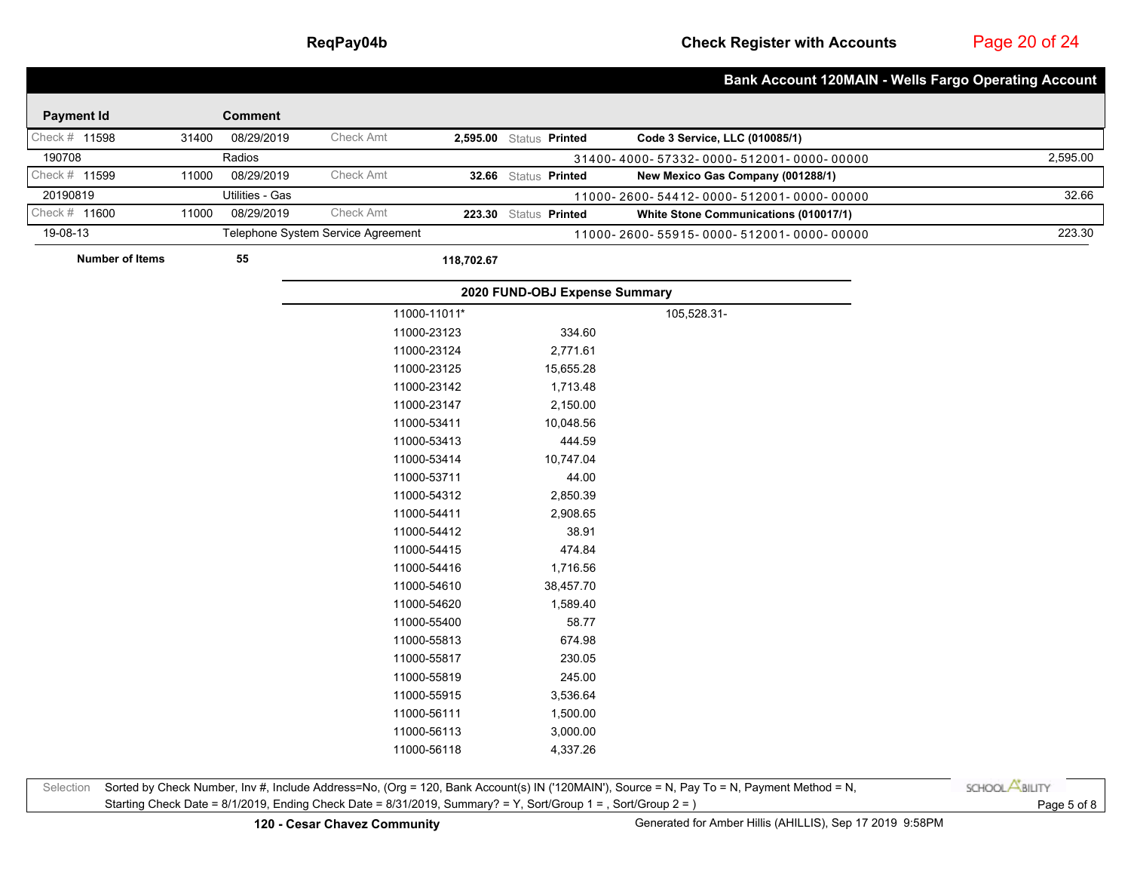Page 20 of 24

|                        |       |                 |                                    |              |                               | <b>Bank Account 120MAIN - Wells Fargo Operating Account</b> |          |
|------------------------|-------|-----------------|------------------------------------|--------------|-------------------------------|-------------------------------------------------------------|----------|
|                        |       |                 |                                    |              |                               |                                                             |          |
| <b>Payment Id</b>      |       | <b>Comment</b>  |                                    |              |                               |                                                             |          |
| Check # 11598          | 31400 | 08/29/2019      | Check Amt                          |              | 2,595.00 Status Printed       | Code 3 Service, LLC (010085/1)                              |          |
| 190708                 |       | Radios          |                                    |              |                               | 31400-4000-57332-0000-512001-0000-00000                     | 2,595.00 |
| Check # 11599          | 11000 | 08/29/2019      | Check Amt                          |              | 32.66 Status Printed          | New Mexico Gas Company (001288/1)                           |          |
| 20190819               |       | Utilities - Gas |                                    |              |                               | 11000-2600-54412-0000-512001-0000-00000                     | 32.66    |
| Check # 11600          | 11000 | 08/29/2019      | Check Amt                          |              | 223.30 Status Printed         | White Stone Communications (010017/1)                       |          |
| 19-08-13               |       |                 | Telephone System Service Agreement |              |                               | 11000-2600-55915-0000-512001-0000-00000                     | 223.30   |
| <b>Number of Items</b> |       | 55              |                                    | 118,702.67   |                               |                                                             |          |
|                        |       |                 |                                    |              | 2020 FUND-OBJ Expense Summary |                                                             |          |
|                        |       |                 |                                    | 11000-11011* |                               | 105,528.31-                                                 |          |
|                        |       |                 |                                    | 11000-23123  | 334.60                        |                                                             |          |
|                        |       |                 |                                    | 11000-23124  | 2,771.61                      |                                                             |          |
|                        |       |                 |                                    | 11000-23125  | 15,655.28                     |                                                             |          |
|                        |       |                 |                                    | 11000-23142  | 1,713.48                      |                                                             |          |
|                        |       |                 |                                    | 11000-23147  | 2,150.00                      |                                                             |          |
|                        |       |                 |                                    | 11000-53411  | 10,048.56                     |                                                             |          |
|                        |       |                 |                                    | 11000-53413  | 444.59                        |                                                             |          |
|                        |       |                 |                                    | 11000-53414  | 10,747.04                     |                                                             |          |
|                        |       |                 |                                    | 11000-53711  | 44.00                         |                                                             |          |
|                        |       |                 |                                    | 11000-54312  | 2,850.39                      |                                                             |          |
|                        |       |                 |                                    | 11000-54411  | 2,908.65                      |                                                             |          |
|                        |       |                 |                                    | 11000-54412  | 38.91                         |                                                             |          |
|                        |       |                 |                                    | 11000-54415  | 474.84                        |                                                             |          |
|                        |       |                 |                                    | 11000-54416  | 1,716.56                      |                                                             |          |
|                        |       |                 |                                    | 11000-54610  | 38,457.70                     |                                                             |          |
|                        |       |                 |                                    | 11000-54620  | 1,589.40                      |                                                             |          |
|                        |       |                 |                                    | 11000-55400  | 58.77                         |                                                             |          |
|                        |       |                 |                                    | 11000-55813  | 674.98                        |                                                             |          |
|                        |       |                 |                                    | 11000-55817  | 230.05                        |                                                             |          |
|                        |       |                 |                                    | 11000-55819  | 245.00                        |                                                             |          |
|                        |       |                 |                                    | 11000-55915  | 3,536.64                      |                                                             |          |
|                        |       |                 |                                    | 11000-56111  | 1,500.00                      |                                                             |          |
|                        |       |                 |                                    | 11000-56113  | 3,000.00                      |                                                             |          |
|                        |       |                 |                                    | 11000-56118  | 4,337.26                      |                                                             |          |

Selection Sorted by Check Number, Inv #, Include Address=No, (Org = 120, Bank Account(s) IN ('120MAIN'), Source = N, Pay To = N, Payment Method = N, Starting Check Date = 8/1/2019, Ending Check Date = 8/31/2019, Summary? = Y, Sort/Group 1 = , Sort/Group 2 = ) Page 5 of 8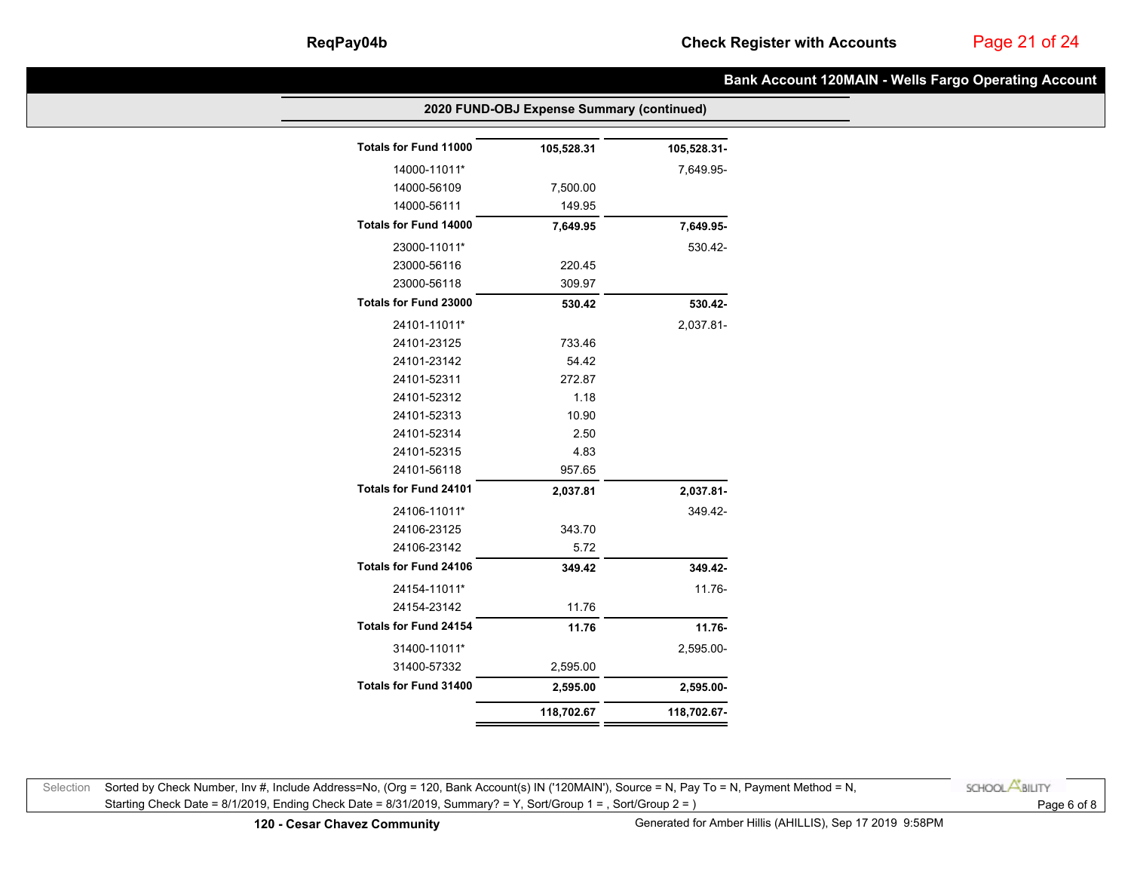# Page 21 of 24

|                       | 2020 FUND-OBJ Expense Summary (continued) |             |  |  |  |  |
|-----------------------|-------------------------------------------|-------------|--|--|--|--|
| Totals for Fund 11000 | 105,528.31                                | 105,528.31- |  |  |  |  |
| 14000-11011*          |                                           | 7,649.95-   |  |  |  |  |
| 14000-56109           | 7,500.00                                  |             |  |  |  |  |
| 14000-56111           | 149.95                                    |             |  |  |  |  |
| Totals for Fund 14000 | 7,649.95                                  | 7,649.95-   |  |  |  |  |
| 23000-11011*          |                                           | 530.42-     |  |  |  |  |
| 23000-56116           | 220.45                                    |             |  |  |  |  |
| 23000-56118           | 309.97                                    |             |  |  |  |  |
| Totals for Fund 23000 | 530.42                                    | 530.42-     |  |  |  |  |
| 24101-11011*          |                                           | 2,037.81-   |  |  |  |  |
| 24101-23125           | 733.46                                    |             |  |  |  |  |
| 24101-23142           | 54.42                                     |             |  |  |  |  |
| 24101-52311           | 272.87                                    |             |  |  |  |  |
| 24101-52312           | 1.18                                      |             |  |  |  |  |
| 24101-52313           | 10.90                                     |             |  |  |  |  |
| 24101-52314           | 2.50                                      |             |  |  |  |  |
| 24101-52315           | 4.83                                      |             |  |  |  |  |
| 24101-56118           | 957.65                                    |             |  |  |  |  |
| Totals for Fund 24101 | 2,037.81                                  | 2,037.81-   |  |  |  |  |
| 24106-11011*          |                                           | 349.42-     |  |  |  |  |
| 24106-23125           | 343.70                                    |             |  |  |  |  |
| 24106-23142           | 5.72                                      |             |  |  |  |  |
| Totals for Fund 24106 | 349.42                                    | 349.42-     |  |  |  |  |
| 24154-11011*          |                                           | 11.76-      |  |  |  |  |
| 24154-23142           | 11.76                                     |             |  |  |  |  |
| Totals for Fund 24154 | 11.76                                     | 11.76-      |  |  |  |  |
| 31400-11011*          |                                           | 2,595.00-   |  |  |  |  |
| 31400-57332           | 2,595.00                                  |             |  |  |  |  |
| Totals for Fund 31400 | 2,595.00                                  | 2,595.00-   |  |  |  |  |
|                       | 118,702.67                                | 118,702.67- |  |  |  |  |
|                       |                                           |             |  |  |  |  |

Selection Sorted by Check Number, Inv #, Include Address=No, (Org = 120, Bank Account(s) IN ('120MAIN'), Source = N, Pay To = N, Payment Method = N, Starting Check Date = 8/1/2019, Ending Check Date = 8/31/2019, Summary? = Y, Sort/Group 1 = , Sort/Group 2 = ) Page 6 of 8